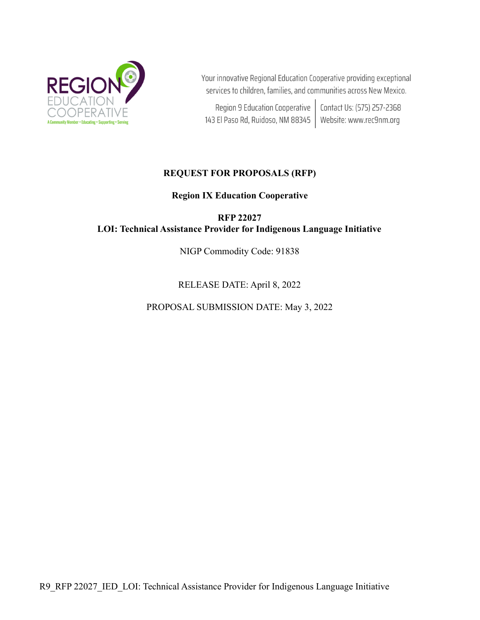

Your innovative Regional Education Cooperative providing exceptional services to children, families, and communities across New Mexico.

Region 9 Education Cooperative | Contact Us: (575) 257-2368 143 El Paso Rd, Ruidoso, NM 88345 | Website: www.rec9nm.org

# **REQUEST FOR PROPOSALS (RFP)**

**Region IX Education Cooperative**

**RFP 22027 LOI: Technical Assistance Provider for Indigenous Language Initiative**

NIGP Commodity Code: 91838

RELEASE DATE: April 8, 2022

PROPOSAL SUBMISSION DATE: May 3, 2022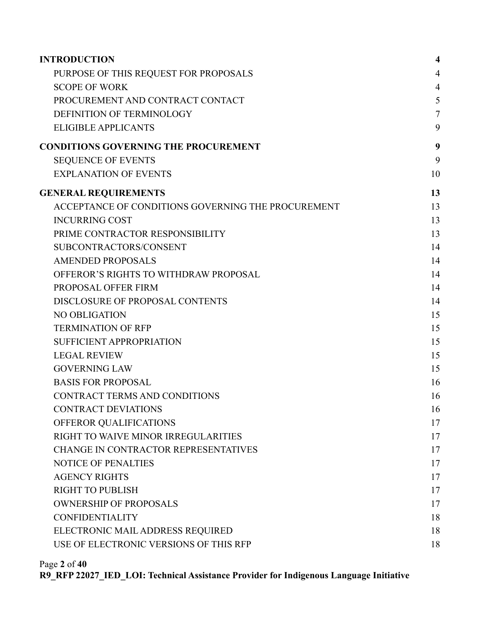| <b>INTRODUCTION</b>                                | $\overline{\mathbf{4}}$ |
|----------------------------------------------------|-------------------------|
| PURPOSE OF THIS REQUEST FOR PROPOSALS              | $\overline{4}$          |
| <b>SCOPE OF WORK</b>                               | $\overline{4}$          |
| PROCUREMENT AND CONTRACT CONTACT                   | 5                       |
| DEFINITION OF TERMINOLOGY                          | $\overline{7}$          |
| <b>ELIGIBLE APPLICANTS</b>                         | 9                       |
| <b>CONDITIONS GOVERNING THE PROCUREMENT</b>        | 9                       |
| <b>SEQUENCE OF EVENTS</b>                          | 9                       |
| <b>EXPLANATION OF EVENTS</b>                       | 10                      |
| <b>GENERAL REQUIREMENTS</b>                        | 13                      |
| ACCEPTANCE OF CONDITIONS GOVERNING THE PROCUREMENT | 13                      |
| <b>INCURRING COST</b>                              | 13                      |
| PRIME CONTRACTOR RESPONSIBILITY                    | 13                      |
| SUBCONTRACTORS/CONSENT                             | 14                      |
| <b>AMENDED PROPOSALS</b>                           | 14                      |
| OFFEROR'S RIGHTS TO WITHDRAW PROPOSAL              | 14                      |
| PROPOSAL OFFER FIRM                                | 14                      |
| DISCLOSURE OF PROPOSAL CONTENTS                    | 14                      |
| NO OBLIGATION                                      | 15                      |
| <b>TERMINATION OF RFP</b>                          | 15                      |
| <b>SUFFICIENT APPROPRIATION</b>                    | 15                      |
| <b>LEGAL REVIEW</b>                                | 15                      |
| <b>GOVERNING LAW</b>                               | 15                      |
| <b>BASIS FOR PROPOSAL</b>                          | 16                      |
| CONTRACT TERMS AND CONDITIONS                      | 16                      |
| <b>CONTRACT DEVIATIONS</b>                         | 16                      |
| OFFEROR QUALIFICATIONS                             | 17                      |
| RIGHT TO WAIVE MINOR IRREGULARITIES                | 17                      |
| CHANGE IN CONTRACTOR REPRESENTATIVES               | 17                      |
| <b>NOTICE OF PENALTIES</b>                         | 17                      |
| <b>AGENCY RIGHTS</b>                               | 17                      |
| <b>RIGHT TO PUBLISH</b>                            | 17                      |
| <b>OWNERSHIP OF PROPOSALS</b>                      | 17                      |
| <b>CONFIDENTIALITY</b>                             | 18                      |
| ELECTRONIC MAIL ADDRESS REQUIRED                   | 18                      |
| USE OF ELECTRONIC VERSIONS OF THIS RFP             | 18                      |
|                                                    |                         |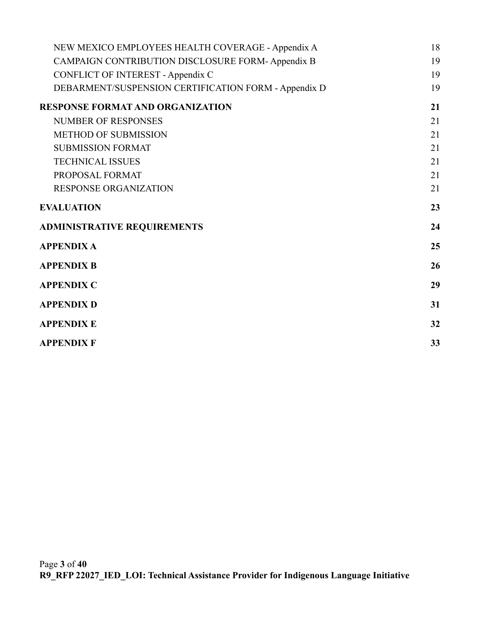| NEW MEXICO EMPLOYEES HEALTH COVERAGE - Appendix A    | 18 |
|------------------------------------------------------|----|
| CAMPAIGN CONTRIBUTION DISCLOSURE FORM-Appendix B     | 19 |
| <b>CONFLICT OF INTEREST - Appendix C</b>             | 19 |
| DEBARMENT/SUSPENSION CERTIFICATION FORM - Appendix D | 19 |
| <b>RESPONSE FORMAT AND ORGANIZATION</b>              | 21 |
| <b>NUMBER OF RESPONSES</b>                           | 21 |
| <b>METHOD OF SUBMISSION</b>                          | 21 |
| <b>SUBMISSION FORMAT</b>                             | 21 |
| <b>TECHNICAL ISSUES</b>                              | 21 |
| PROPOSAL FORMAT                                      | 21 |
| <b>RESPONSE ORGANIZATION</b>                         | 21 |
| <b>EVALUATION</b>                                    | 23 |
| <b>ADMINISTRATIVE REQUIREMENTS</b>                   | 24 |
| <b>APPENDIX A</b>                                    | 25 |
| <b>APPENDIX B</b>                                    | 26 |
| <b>APPENDIX C</b>                                    | 29 |
| <b>APPENDIX D</b>                                    | 31 |
| <b>APPENDIX E</b>                                    | 32 |
| <b>APPENDIX F</b>                                    | 33 |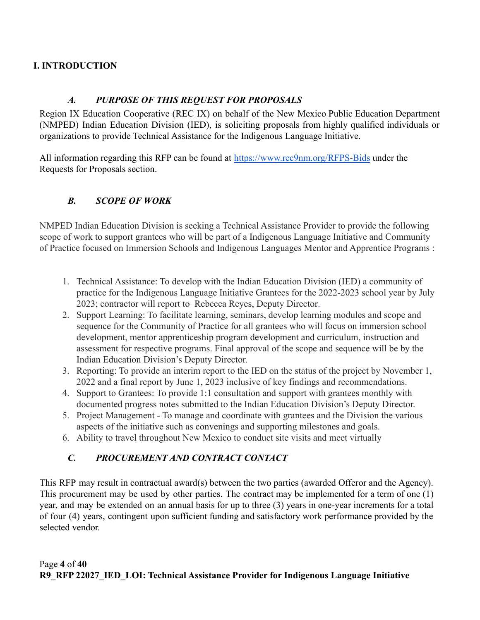# <span id="page-3-0"></span>**I. INTRODUCTION**

# *A. PURPOSE OF THIS REQUEST FOR PROPOSALS*

<span id="page-3-1"></span>Region IX Education Cooperative (REC IX) on behalf of the New Mexico Public Education Department (NMPED) Indian Education Division (IED), is soliciting proposals from highly qualified individuals or organizations to provide Technical Assistance for the Indigenous Language Initiative.

All information regarding this RFP can be found at <https://www.rec9nm.org/RFPS-Bids> under the Requests for Proposals section.

# <span id="page-3-2"></span>*B. SCOPE OF WORK*

NMPED Indian Education Division is seeking a Technical Assistance Provider to provide the following scope of work to support grantees who will be part of a Indigenous Language Initiative and Community of Practice focused on Immersion Schools and Indigenous Languages Mentor and Apprentice Programs :

- 1. Technical Assistance: To develop with the Indian Education Division (IED) a community of practice for the Indigenous Language Initiative Grantees for the 2022-2023 school year by July 2023; contractor will report to Rebecca Reyes, Deputy Director.
- 2. Support Learning: To facilitate learning, seminars, develop learning modules and scope and sequence for the Community of Practice for all grantees who will focus on immersion school development, mentor apprenticeship program development and curriculum, instruction and assessment for respective programs. Final approval of the scope and sequence will be by the Indian Education Division's Deputy Director.
- 3. Reporting: To provide an interim report to the IED on the status of the project by November 1, 2022 and a final report by June 1, 2023 inclusive of key findings and recommendations.
- 4. Support to Grantees: To provide 1:1 consultation and support with grantees monthly with documented progress notes submitted to the Indian Education Division's Deputy Director.
- 5. Project Management To manage and coordinate with grantees and the Division the various aspects of the initiative such as convenings and supporting milestones and goals.
- <span id="page-3-3"></span>6. Ability to travel throughout New Mexico to conduct site visits and meet virtually

# *C. PROCUREMENT AND CONTRACT CONTACT*

This RFP may result in contractual award(s) between the two parties (awarded Offeror and the Agency). This procurement may be used by other parties. The contract may be implemented for a term of one (1) year, and may be extended on an annual basis for up to three (3) years in one-year increments for a total of four (4) years, contingent upon sufficient funding and satisfactory work performance provided by the selected vendor.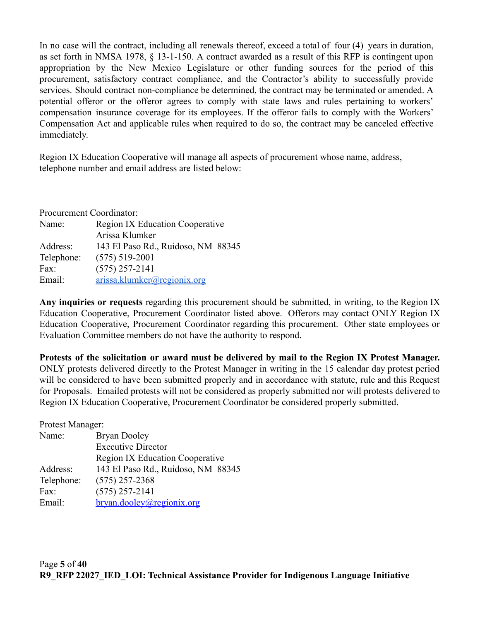In no case will the contract, including all renewals thereof, exceed a total of four (4) years in duration, as set forth in NMSA 1978, § 13-1-150. A contract awarded as a result of this RFP is contingent upon appropriation by the New Mexico Legislature or other funding sources for the period of this procurement, satisfactory contract compliance, and the Contractor's ability to successfully provide services. Should contract non-compliance be determined, the contract may be terminated or amended. A potential offeror or the offeror agrees to comply with state laws and rules pertaining to workers' compensation insurance coverage for its employees. If the offeror fails to comply with the Workers' Compensation Act and applicable rules when required to do so, the contract may be canceled effective immediately.

Region IX Education Cooperative will manage all aspects of procurement whose name, address, telephone number and email address are listed below:

| Procurement Coordinator: |                                        |  |
|--------------------------|----------------------------------------|--|
| Name:                    | <b>Region IX Education Cooperative</b> |  |
|                          | Arissa Klumker                         |  |
| Address:                 | 143 El Paso Rd., Ruidoso, NM 88345     |  |
| Telephone:               | $(575) 519 - 2001$                     |  |
| Fax:                     | $(575)$ 257-2141                       |  |
| Email:                   | arissa.klumker@regionix.org            |  |

**Any inquiries or requests** regarding this procurement should be submitted, in writing, to the Region IX Education Cooperative, Procurement Coordinator listed above. Offerors may contact ONLY Region IX Education Cooperative, Procurement Coordinator regarding this procurement. Other state employees or Evaluation Committee members do not have the authority to respond.

**Protests of the solicitation or award must be delivered by mail to the Region IX Protest Manager.** ONLY protests delivered directly to the Protest Manager in writing in the 15 calendar day protest period will be considered to have been submitted properly and in accordance with statute, rule and this Request for Proposals. Emailed protests will not be considered as properly submitted nor will protests delivered to Region IX Education Cooperative, Procurement Coordinator be considered properly submitted.

Protest Manager:

| Name:      | <b>Bryan Dooley</b>                    |  |  |
|------------|----------------------------------------|--|--|
|            | <b>Executive Director</b>              |  |  |
|            | <b>Region IX Education Cooperative</b> |  |  |
| Address:   | 143 El Paso Rd., Ruidoso, NM 88345     |  |  |
| Telephone: | $(575)$ 257-2368                       |  |  |
| Fax:       | $(575)$ 257-2141                       |  |  |
| Email:     | bryan.dooley@regionix.org              |  |  |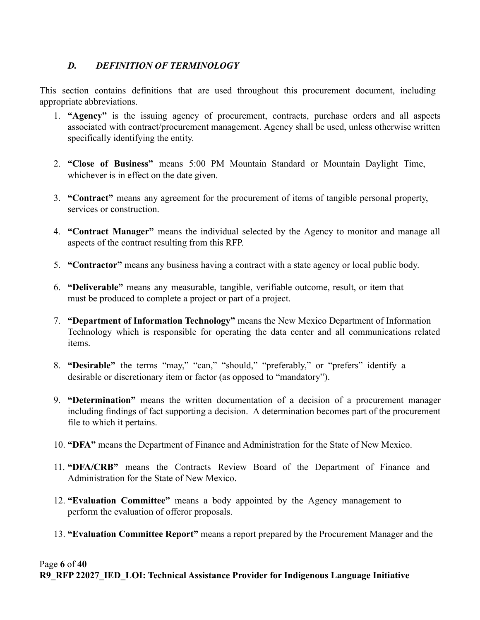# <span id="page-5-0"></span>*D. DEFINITION OF TERMINOLOGY*

This section contains definitions that are used throughout this procurement document, including appropriate abbreviations.

- 1. **"Agency"** is the issuing agency of procurement, contracts, purchase orders and all aspects associated with contract/procurement management. Agency shall be used, unless otherwise written specifically identifying the entity.
- 2. **"Close of Business"** means 5:00 PM Mountain Standard or Mountain Daylight Time, whichever is in effect on the date given.
- 3. **"Contract"** means any agreement for the procurement of items of tangible personal property, services or construction.
- 4. **"Contract Manager"** means the individual selected by the Agency to monitor and manage all aspects of the contract resulting from this RFP.
- 5. **"Contractor"** means any business having a contract with a state agency or local public body.
- 6. **"Deliverable"** means any measurable, tangible, verifiable outcome, result, or item that must be produced to complete a project or part of a project.
- 7. **"Department of Information Technology"** means the New Mexico Department of Information Technology which is responsible for operating the data center and all communications related items.
- 8. **"Desirable"** the terms "may," "can," "should," "preferably," or "prefers" identify a desirable or discretionary item or factor (as opposed to "mandatory").
- 9. **"Determination"** means the written documentation of a decision of a procurement manager including findings of fact supporting a decision. A determination becomes part of the procurement file to which it pertains.
- 10. **"DFA"** means the Department of Finance and Administration for the State of New Mexico.
- 11. **"DFA/CRB"** means the Contracts Review Board of the Department of Finance and Administration for the State of New Mexico.
- 12. **"Evaluation Committee"** means a body appointed by the Agency management to perform the evaluation of offeror proposals.
- 13. **"Evaluation Committee Report"** means a report prepared by the Procurement Manager and the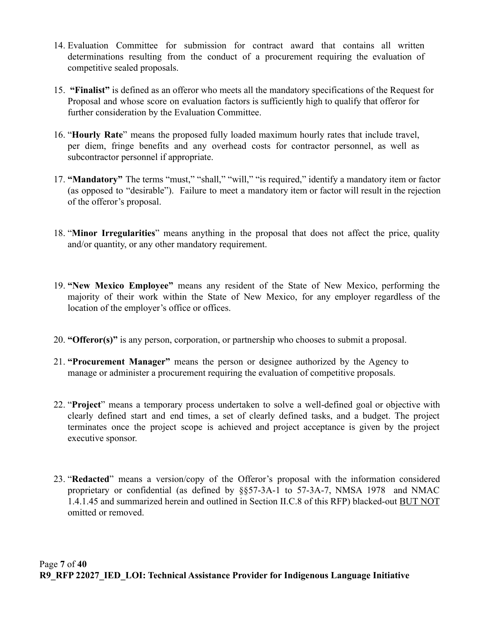- 14. Evaluation Committee for submission for contract award that contains all written determinations resulting from the conduct of a procurement requiring the evaluation of competitive sealed proposals.
- 15. **"Finalist"** is defined as an offeror who meets all the mandatory specifications of the Request for Proposal and whose score on evaluation factors is sufficiently high to qualify that offeror for further consideration by the Evaluation Committee.
- 16. "**Hourly Rate**" means the proposed fully loaded maximum hourly rates that include travel, per diem, fringe benefits and any overhead costs for contractor personnel, as well as subcontractor personnel if appropriate.
- 17. **"Mandatory"** The terms "must," "shall," "will," "is required," identify a mandatory item or factor (as opposed to "desirable"). Failure to meet a mandatory item or factor will result in the rejection of the offeror's proposal.
- 18. "**Minor Irregularities**" means anything in the proposal that does not affect the price, quality and/or quantity, or any other mandatory requirement.
- 19. **"New Mexico Employee"** means any resident of the State of New Mexico, performing the majority of their work within the State of New Mexico, for any employer regardless of the location of the employer's office or offices.
- 20. **"Offeror(s)"** is any person, corporation, or partnership who chooses to submit a proposal.
- 21. **"Procurement Manager"** means the person or designee authorized by the Agency to manage or administer a procurement requiring the evaluation of competitive proposals.
- 22. "**Project**" means a temporary process undertaken to solve a well-defined goal or objective with clearly defined start and end times, a set of clearly defined tasks, and a budget. The project terminates once the project scope is achieved and project acceptance is given by the project executive sponsor.
- 23. "**Redacted**" means a version/copy of the Offeror's proposal with the information considered proprietary or confidential (as defined by §§57-3A-1 to 57-3A-7, NMSA 1978 and NMAC 1.4.1.45 and summarized herein and outlined in Section II.C.8 of this RFP) blacked-out BUT NOT omitted or removed.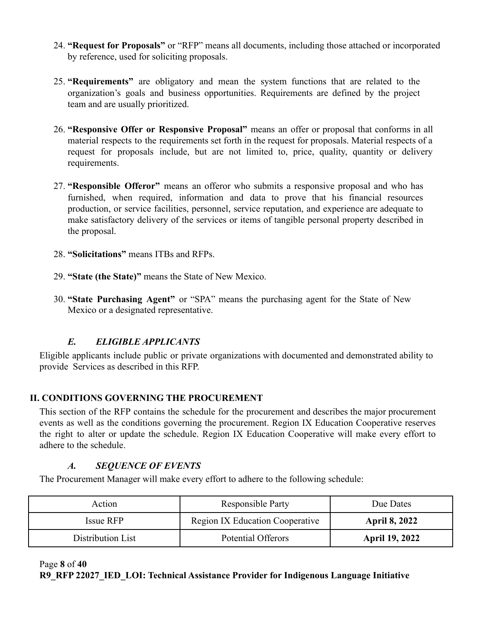- 24. **"Request for Proposals"** or "RFP" means all documents, including those attached or incorporated by reference, used for soliciting proposals.
- 25. **"Requirements"** are obligatory and mean the system functions that are related to the organization's goals and business opportunities. Requirements are defined by the project team and are usually prioritized.
- 26. **"Responsive Offer or Responsive Proposal"** means an offer or proposal that conforms in all material respects to the requirements set forth in the request for proposals. Material respects of a request for proposals include, but are not limited to, price, quality, quantity or delivery requirements.
- 27. **"Responsible Offeror"** means an offeror who submits a responsive proposal and who has furnished, when required, information and data to prove that his financial resources production, or service facilities, personnel, service reputation, and experience are adequate to make satisfactory delivery of the services or items of tangible personal property described in the proposal.
- 28. **"Solicitations"** means ITBs and RFPs.
- 29. **"State (the State)"** means the State of New Mexico.
- 30. **"State Purchasing Agent"** or "SPA" means the purchasing agent for the State of New Mexico or a designated representative.

# *E. ELIGIBLE APPLICANTS*

<span id="page-7-0"></span>Eligible applicants include public or private organizations with documented and demonstrated ability to provide Services as described in this RFP.

# <span id="page-7-1"></span>**II. CONDITIONS GOVERNING THE PROCUREMENT**

This section of the RFP contains the schedule for the procurement and describes the major procurement events as well as the conditions governing the procurement. Region IX Education Cooperative reserves the right to alter or update the schedule. Region IX Education Cooperative will make every effort to adhere to the schedule.

## *A. SEQUENCE OF EVENTS*

<span id="page-7-2"></span>The Procurement Manager will make every effort to adhere to the following schedule:

| Action            | <b>Responsible Party</b>               | Due Dates             |
|-------------------|----------------------------------------|-----------------------|
| Issue RFP         | <b>Region IX Education Cooperative</b> | <b>April 8, 2022</b>  |
| Distribution List | Potential Offerors                     | <b>April 19, 2022</b> |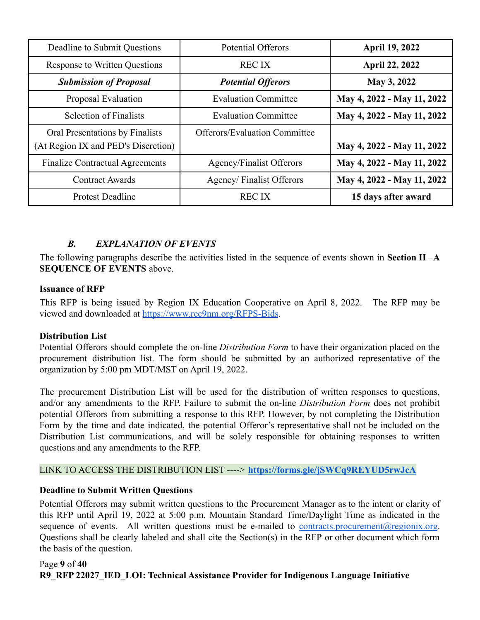| Deadline to Submit Questions                                           | <b>Potential Offerors</b>            | <b>April 19, 2022</b>      |
|------------------------------------------------------------------------|--------------------------------------|----------------------------|
| <b>Response to Written Questions</b>                                   | <b>RECIX</b>                         | April 22, 2022             |
| <b>Submission of Proposal</b>                                          | <b>Potential Offerors</b>            | May 3, 2022                |
| Proposal Evaluation                                                    | <b>Evaluation Committee</b>          | May 4, 2022 - May 11, 2022 |
| <b>Selection of Finalists</b>                                          | <b>Evaluation Committee</b>          | May 4, 2022 - May 11, 2022 |
| Oral Presentations by Finalists<br>(At Region IX and PED's Discretion) | <b>Offerors/Evaluation Committee</b> | May 4, 2022 - May 11, 2022 |
| <b>Finalize Contractual Agreements</b>                                 | Agency/Finalist Offerors             | May 4, 2022 - May 11, 2022 |
| <b>Contract Awards</b>                                                 | Agency/Finalist Offerors             | May 4, 2022 - May 11, 2022 |
| <b>Protest Deadline</b>                                                | <b>RECIX</b>                         | 15 days after award        |

# *B. EXPLANATION OF EVENTS*

<span id="page-8-0"></span>The following paragraphs describe the activities listed in the sequence of events shown in **Section II** –**A SEQUENCE OF EVENTS** above.

### **Issuance of RFP**

This RFP is being issued by Region IX Education Cooperative on April 8, 2022. The RFP may be viewed and downloaded at <https://www.rec9nm.org/RFPS-Bids>.

## **Distribution List**

Potential Offerors should complete the on-line *Distribution Form* to have their organization placed on the procurement distribution list. The form should be submitted by an authorized representative of the organization by 5:00 pm MDT/MST on April 19, 2022.

The procurement Distribution List will be used for the distribution of written responses to questions, and/or any amendments to the RFP. Failure to submit the on-line *Distribution Form* does not prohibit potential Offerors from submitting a response to this RFP. However, by not completing the Distribution Form by the time and date indicated, the potential Offeror's representative shall not be included on the Distribution List communications, and will be solely responsible for obtaining responses to written questions and any amendments to the RFP.

## LINK TO ACCESS THE DISTRIBUTION LIST ----> **<https://forms.gle/jSWCq9REYUD5rwJcA>**

## **Deadline to Submit Written Questions**

Potential Offerors may submit written questions to the Procurement Manager as to the intent or clarity of this RFP until April 19, 2022 at 5:00 p.m. Mountain Standard Time/Daylight Time as indicated in the sequence of events. All written questions must be e-mailed to [contracts.procurement@regionix.org](mailto:contracts.procurement@regionix.org). Questions shall be clearly labeled and shall cite the Section(s) in the RFP or other document which form the basis of the question.

## Page **9** of **40 R9\_RFP 22027\_IED\_LOI: Technical Assistance Provider for Indigenous Language Initiative**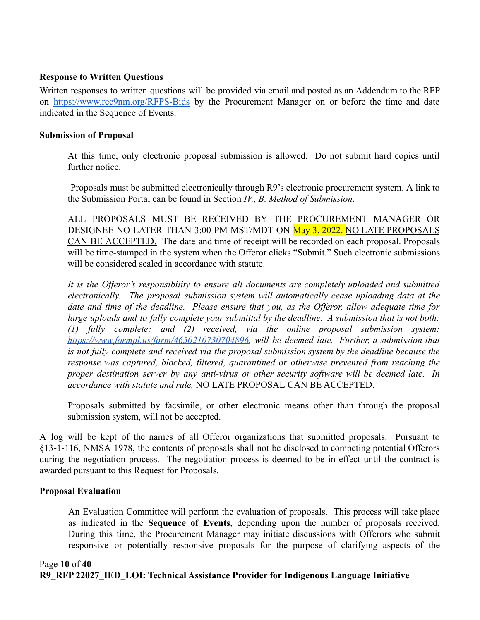### **Response to Written Questions**

Written responses to written questions will be provided via email and posted as an Addendum to the RFP on <https://www.rec9nm.org/RFPS-Bids> by the Procurement Manager on or before the time and date indicated in the Sequence of Events.

#### **Submission of Proposal**

At this time, only electronic proposal submission is allowed. Do not submit hard copies until further notice.

Proposals must be submitted electronically through R9's electronic procurement system. A link to the Submission Portal can be found in Section *IV., B. Method of Submission*.

ALL PROPOSALS MUST BE RECEIVED BY THE PROCUREMENT MANAGER OR DESIGNEE NO LATER THAN 3:00 PM MST/MDT ON May 3, 2022. NO LATE PROPOSALS CAN BE ACCEPTED. The date and time of receipt will be recorded on each proposal. Proposals will be time-stamped in the system when the Offeror clicks "Submit." Such electronic submissions will be considered sealed in accordance with statute.

*It is the Offeror's responsibility to ensure all documents are completely uploaded and submitted electronically. The proposal submission system will automatically cease uploading data at the date and time of the deadline. Please ensure that you, as the Offeror, allow adequate time for large uploads and to fully complete your submittal by the deadline. A submission that is not both: (1) fully complete; and (2) received, via the online proposal submission system: [https://www.formpl.us/form/4650210730704896,](https://www.formpl.us/form/4650210730704896) will be deemed late. Further, a submission that is not fully complete and received via the proposal submission system by the deadline because the response was captured, blocked, filtered, quarantined or otherwise prevented from reaching the proper destination server by any anti-virus or other security software will be deemed late. In accordance with statute and rule,* NO LATE PROPOSAL CAN BE ACCEPTED.

Proposals submitted by facsimile, or other electronic means other than through the proposal submission system, will not be accepted.

A log will be kept of the names of all Offeror organizations that submitted proposals. Pursuant to §13-1-116, NMSA 1978, the contents of proposals shall not be disclosed to competing potential Offerors during the negotiation process. The negotiation process is deemed to be in effect until the contract is awarded pursuant to this Request for Proposals.

### **Proposal Evaluation**

An Evaluation Committee will perform the evaluation of proposals. This process will take place as indicated in the **Sequence of Events**, depending upon the number of proposals received. During this time, the Procurement Manager may initiate discussions with Offerors who submit responsive or potentially responsive proposals for the purpose of clarifying aspects of the

### Page **10** of **40 R9\_RFP 22027\_IED\_LOI: Technical Assistance Provider for Indigenous Language Initiative**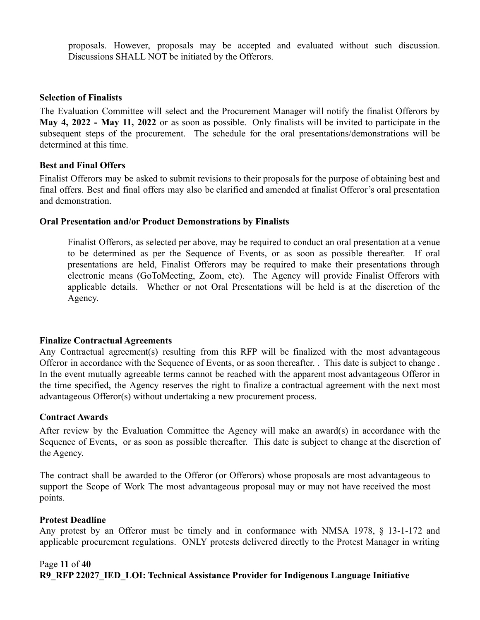proposals. However, proposals may be accepted and evaluated without such discussion. Discussions SHALL NOT be initiated by the Offerors.

#### **Selection of Finalists**

The Evaluation Committee will select and the Procurement Manager will notify the finalist Offerors by **May 4, 2022 - May 11, 2022** or as soon as possible. Only finalists will be invited to participate in the subsequent steps of the procurement. The schedule for the oral presentations/demonstrations will be determined at this time.

#### **Best and Final Offers**

Finalist Offerors may be asked to submit revisions to their proposals for the purpose of obtaining best and final offers. Best and final offers may also be clarified and amended at finalist Offeror's oral presentation and demonstration.

#### **Oral Presentation and/or Product Demonstrations by Finalists**

Finalist Offerors, as selected per above, may be required to conduct an oral presentation at a venue to be determined as per the Sequence of Events, or as soon as possible thereafter. If oral presentations are held, Finalist Offerors may be required to make their presentations through electronic means (GoToMeeting, Zoom, etc). The Agency will provide Finalist Offerors with applicable details. Whether or not Oral Presentations will be held is at the discretion of the Agency.

#### **Finalize Contractual Agreements**

Any Contractual agreement(s) resulting from this RFP will be finalized with the most advantageous Offeror in accordance with the Sequence of Events, or as soon thereafter. . This date is subject to change . In the event mutually agreeable terms cannot be reached with the apparent most advantageous Offeror in the time specified, the Agency reserves the right to finalize a contractual agreement with the next most advantageous Offeror(s) without undertaking a new procurement process.

#### **Contract Awards**

After review by the Evaluation Committee the Agency will make an award(s) in accordance with the Sequence of Events, or as soon as possible thereafter. This date is subject to change at the discretion of the Agency.

The contract shall be awarded to the Offeror (or Offerors) whose proposals are most advantageous to support the Scope of Work The most advantageous proposal may or may not have received the most points.

#### **Protest Deadline**

Any protest by an Offeror must be timely and in conformance with NMSA 1978, § 13-1-172 and applicable procurement regulations. ONLY protests delivered directly to the Protest Manager in writing

#### Page **11** of **40 R9\_RFP 22027\_IED\_LOI: Technical Assistance Provider for Indigenous Language Initiative**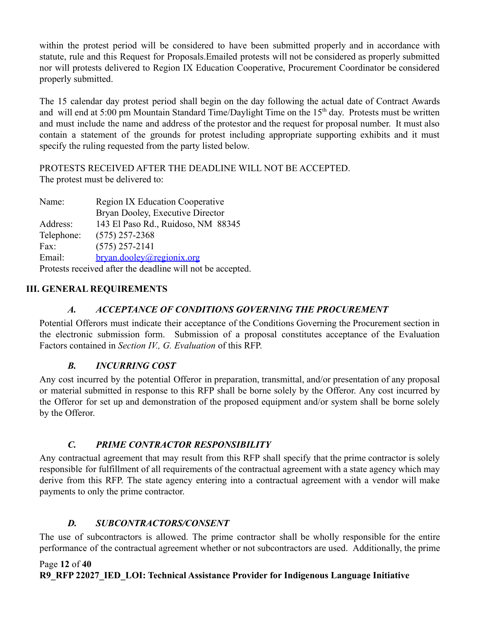within the protest period will be considered to have been submitted properly and in accordance with statute, rule and this Request for Proposals.Emailed protests will not be considered as properly submitted nor will protests delivered to Region IX Education Cooperative, Procurement Coordinator be considered properly submitted.

The 15 calendar day protest period shall begin on the day following the actual date of Contract Awards and will end at 5:00 pm Mountain Standard Time/Daylight Time on the 15<sup>th</sup> day. Protests must be written and must include the name and address of the protestor and the request for proposal number. It must also contain a statement of the grounds for protest including appropriate supporting exhibits and it must specify the ruling requested from the party listed below.

PROTESTS RECEIVED AFTER THE DEADLINE WILL NOT BE ACCEPTED. The protest must be delivered to:

| Name:      | <b>Region IX Education Cooperative</b>                     |  |
|------------|------------------------------------------------------------|--|
|            | Bryan Dooley, Executive Director                           |  |
| Address:   | 143 El Paso Rd., Ruidoso, NM 88345                         |  |
| Telephone: | $(575)$ 257-2368                                           |  |
| Fax:       | $(575)$ 257-2141                                           |  |
| Email:     | bryan.dooley@regionix.org                                  |  |
|            | Protests received after the deadline will not be accepted. |  |

# <span id="page-11-1"></span><span id="page-11-0"></span>**III. GENERAL REQUIREMENTS**

# *A. ACCEPTANCE OF CONDITIONS GOVERNING THE PROCUREMENT*

Potential Offerors must indicate their acceptance of the Conditions Governing the Procurement section in the electronic submission form. Submission of a proposal constitutes acceptance of the Evaluation Factors contained in *Section IV., G. Evaluation* of this RFP.

# *B. INCURRING COST*

<span id="page-11-2"></span>Any cost incurred by the potential Offeror in preparation, transmittal, and/or presentation of any proposal or material submitted in response to this RFP shall be borne solely by the Offeror. Any cost incurred by the Offeror for set up and demonstration of the proposed equipment and/or system shall be borne solely by the Offeror.

## *C. PRIME CONTRACTOR RESPONSIBILITY*

<span id="page-11-3"></span>Any contractual agreement that may result from this RFP shall specify that the prime contractor is solely responsible for fulfillment of all requirements of the contractual agreement with a state agency which may derive from this RFP. The state agency entering into a contractual agreement with a vendor will make payments to only the prime contractor.

## *D. SUBCONTRACTORS/CONSENT*

<span id="page-11-4"></span>The use of subcontractors is allowed. The prime contractor shall be wholly responsible for the entire performance of the contractual agreement whether or not subcontractors are used. Additionally, the prime

### Page **12** of **40 R9\_RFP 22027\_IED\_LOI: Technical Assistance Provider for Indigenous Language Initiative**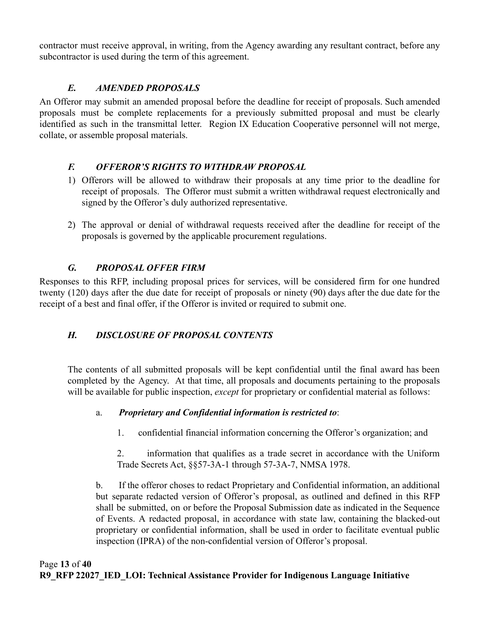contractor must receive approval, in writing, from the Agency awarding any resultant contract, before any subcontractor is used during the term of this agreement.

# *E. AMENDED PROPOSALS*

<span id="page-12-0"></span>An Offeror may submit an amended proposal before the deadline for receipt of proposals. Such amended proposals must be complete replacements for a previously submitted proposal and must be clearly identified as such in the transmittal letter. Region IX Education Cooperative personnel will not merge, collate, or assemble proposal materials.

# <span id="page-12-1"></span>*F. OFFEROR'S RIGHTS TO WITHDRAW PROPOSAL*

- 1) Offerors will be allowed to withdraw their proposals at any time prior to the deadline for receipt of proposals. The Offeror must submit a written withdrawal request electronically and signed by the Offeror's duly authorized representative.
- 2) The approval or denial of withdrawal requests received after the deadline for receipt of the proposals is governed by the applicable procurement regulations.

# *G. PROPOSAL OFFER FIRM*

<span id="page-12-2"></span>Responses to this RFP, including proposal prices for services, will be considered firm for one hundred twenty (120) days after the due date for receipt of proposals or ninety (90) days after the due date for the receipt of a best and final offer, if the Offeror is invited or required to submit one.

# <span id="page-12-3"></span>*H. DISCLOSURE OF PROPOSAL CONTENTS*

The contents of all submitted proposals will be kept confidential until the final award has been completed by the Agency. At that time, all proposals and documents pertaining to the proposals will be available for public inspection, *except* for proprietary or confidential material as follows:

# a. *Proprietary and Confidential information is restricted to*:

- 1. confidential financial information concerning the Offeror's organization; and
- 2. information that qualifies as a trade secret in accordance with the Uniform Trade Secrets Act, §§57-3A-1 through 57-3A-7, NMSA 1978.

b. If the offeror choses to redact Proprietary and Confidential information, an additional but separate redacted version of Offeror's proposal, as outlined and defined in this RFP shall be submitted, on or before the Proposal Submission date as indicated in the Sequence of Events. A redacted proposal, in accordance with state law, containing the blacked-out proprietary or confidential information, shall be used in order to facilitate eventual public inspection (IPRA) of the non-confidential version of Offeror's proposal.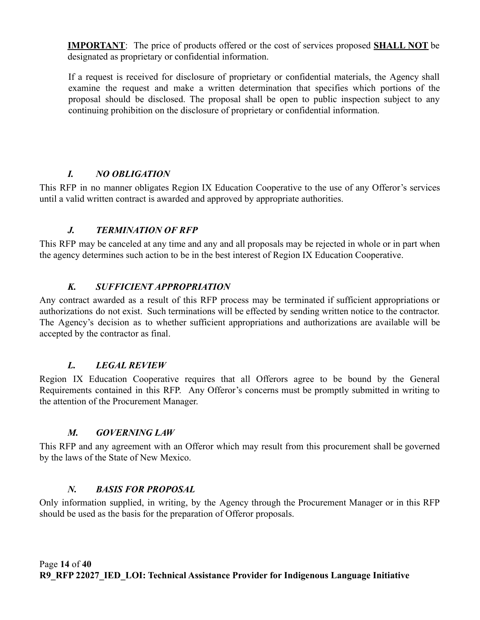**IMPORTANT**: The price of products offered or the cost of services proposed **SHALL NOT** be designated as proprietary or confidential information.

If a request is received for disclosure of proprietary or confidential materials, the Agency shall examine the request and make a written determination that specifies which portions of the proposal should be disclosed. The proposal shall be open to public inspection subject to any continuing prohibition on the disclosure of proprietary or confidential information.

# *I. NO OBLIGATION*

<span id="page-13-0"></span>This RFP in no manner obligates Region IX Education Cooperative to the use of any Offeror's services until a valid written contract is awarded and approved by appropriate authorities.

# *J. TERMINATION OF RFP*

<span id="page-13-1"></span>This RFP may be canceled at any time and any and all proposals may be rejected in whole or in part when the agency determines such action to be in the best interest of Region IX Education Cooperative.

# *K. SUFFICIENT APPROPRIATION*

<span id="page-13-2"></span>Any contract awarded as a result of this RFP process may be terminated if sufficient appropriations or authorizations do not exist. Such terminations will be effected by sending written notice to the contractor. The Agency's decision as to whether sufficient appropriations and authorizations are available will be accepted by the contractor as final.

## *L. LEGAL REVIEW*

<span id="page-13-3"></span>Region IX Education Cooperative requires that all Offerors agree to be bound by the General Requirements contained in this RFP. Any Offeror's concerns must be promptly submitted in writing to the attention of the Procurement Manager.

## *M. GOVERNING LAW*

<span id="page-13-4"></span>This RFP and any agreement with an Offeror which may result from this procurement shall be governed by the laws of the State of New Mexico.

## *N. BASIS FOR PROPOSAL*

<span id="page-13-5"></span>Only information supplied, in writing, by the Agency through the Procurement Manager or in this RFP should be used as the basis for the preparation of Offeror proposals.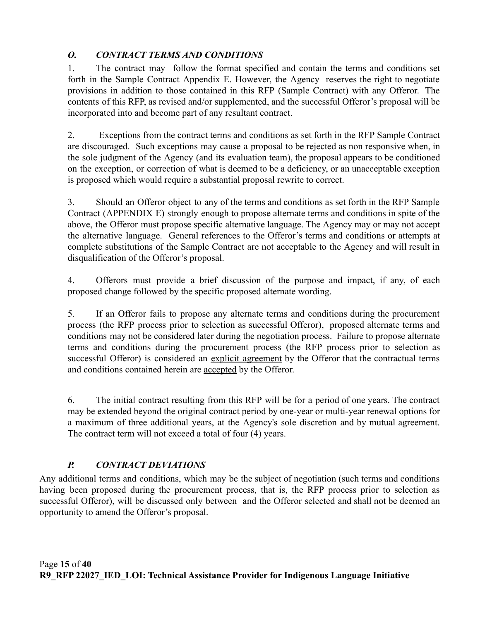# <span id="page-14-0"></span>*O. CONTRACT TERMS AND CONDITIONS*

1. The contract may follow the format specified and contain the terms and conditions set forth in the Sample Contract Appendix E. However, the Agency reserves the right to negotiate provisions in addition to those contained in this RFP (Sample Contract) with any Offeror. The contents of this RFP, as revised and/or supplemented, and the successful Offeror's proposal will be incorporated into and become part of any resultant contract.

2. Exceptions from the contract terms and conditions as set forth in the RFP Sample Contract are discouraged. Such exceptions may cause a proposal to be rejected as non responsive when, in the sole judgment of the Agency (and its evaluation team), the proposal appears to be conditioned on the exception, or correction of what is deemed to be a deficiency, or an unacceptable exception is proposed which would require a substantial proposal rewrite to correct.

3. Should an Offeror object to any of the terms and conditions as set forth in the RFP Sample Contract (APPENDIX E) strongly enough to propose alternate terms and conditions in spite of the above, the Offeror must propose specific alternative language. The Agency may or may not accept the alternative language. General references to the Offeror's terms and conditions or attempts at complete substitutions of the Sample Contract are not acceptable to the Agency and will result in disqualification of the Offeror's proposal.

4. Offerors must provide a brief discussion of the purpose and impact, if any, of each proposed change followed by the specific proposed alternate wording.

5. If an Offeror fails to propose any alternate terms and conditions during the procurement process (the RFP process prior to selection as successful Offeror), proposed alternate terms and conditions may not be considered later during the negotiation process. Failure to propose alternate terms and conditions during the procurement process (the RFP process prior to selection as successful Offeror) is considered an explicit agreement by the Offeror that the contractual terms and conditions contained herein are accepted by the Offeror.

6. The initial contract resulting from this RFP will be for a period of one years. The contract may be extended beyond the original contract period by one-year or multi-year renewal options for a maximum of three additional years, at the Agency's sole discretion and by mutual agreement. The contract term will not exceed a total of four (4) years.

# *P. CONTRACT DEVIATIONS*

<span id="page-14-1"></span>Any additional terms and conditions, which may be the subject of negotiation (such terms and conditions having been proposed during the procurement process, that is, the RFP process prior to selection as successful Offeror), will be discussed only between and the Offeror selected and shall not be deemed an opportunity to amend the Offeror's proposal.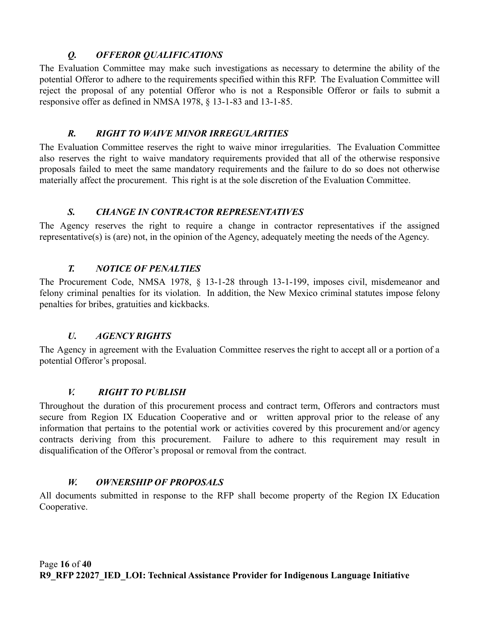# *Q. OFFEROR QUALIFICATIONS*

<span id="page-15-0"></span>The Evaluation Committee may make such investigations as necessary to determine the ability of the potential Offeror to adhere to the requirements specified within this RFP. The Evaluation Committee will reject the proposal of any potential Offeror who is not a Responsible Offeror or fails to submit a responsive offer as defined in NMSA 1978, § 13-1-83 and 13-1-85.

## *R. RIGHT TO WAIVE MINOR IRREGULARITIES*

<span id="page-15-1"></span>The Evaluation Committee reserves the right to waive minor irregularities. The Evaluation Committee also reserves the right to waive mandatory requirements provided that all of the otherwise responsive proposals failed to meet the same mandatory requirements and the failure to do so does not otherwise materially affect the procurement. This right is at the sole discretion of the Evaluation Committee.

## *S. CHANGE IN CONTRACTOR REPRESENTATIVES*

<span id="page-15-2"></span>The Agency reserves the right to require a change in contractor representatives if the assigned representative(s) is (are) not, in the opinion of the Agency, adequately meeting the needs of the Agency.

# *T. NOTICE OF PENALTIES*

<span id="page-15-3"></span>The Procurement Code, NMSA 1978, § 13-1-28 through 13-1-199, imposes civil, misdemeanor and felony criminal penalties for its violation. In addition, the New Mexico criminal statutes impose felony penalties for bribes, gratuities and kickbacks.

# *U. AGENCY RIGHTS*

<span id="page-15-4"></span>The Agency in agreement with the Evaluation Committee reserves the right to accept all or a portion of a potential Offeror's proposal.

# *V. RIGHT TO PUBLISH*

<span id="page-15-5"></span>Throughout the duration of this procurement process and contract term, Offerors and contractors must secure from Region IX Education Cooperative and or written approval prior to the release of any information that pertains to the potential work or activities covered by this procurement and/or agency contracts deriving from this procurement. Failure to adhere to this requirement may result in disqualification of the Offeror's proposal or removal from the contract.

# *W. OWNERSHIP OF PROPOSALS*

<span id="page-15-6"></span>All documents submitted in response to the RFP shall become property of the Region IX Education Cooperative.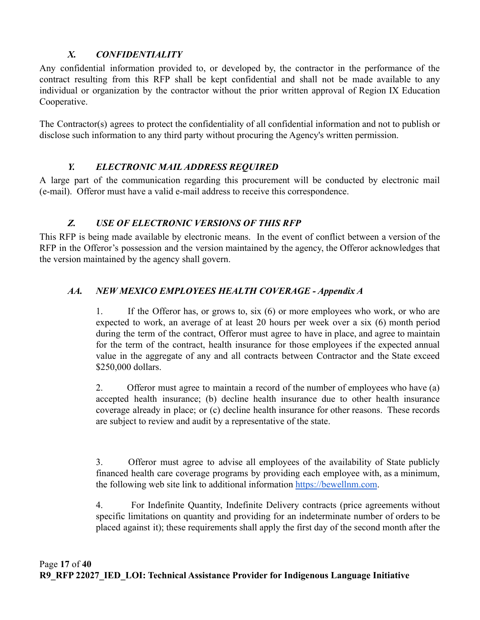# *X. CONFIDENTIALITY*

<span id="page-16-0"></span>Any confidential information provided to, or developed by, the contractor in the performance of the contract resulting from this RFP shall be kept confidential and shall not be made available to any individual or organization by the contractor without the prior written approval of Region IX Education Cooperative.

The Contractor(s) agrees to protect the confidentiality of all confidential information and not to publish or disclose such information to any third party without procuring the Agency's written permission.

# *Y. ELECTRONIC MAIL ADDRESS REQUIRED*

<span id="page-16-1"></span>A large part of the communication regarding this procurement will be conducted by electronic mail (e-mail). Offeror must have a valid e-mail address to receive this correspondence.

# *Z. USE OF ELECTRONIC VERSIONS OF THIS RFP*

<span id="page-16-2"></span>This RFP is being made available by electronic means. In the event of conflict between a version of the RFP in the Offeror's possession and the version maintained by the agency, the Offeror acknowledges that the version maintained by the agency shall govern.

# <span id="page-16-3"></span>*AA. NEW MEXICO EMPLOYEES HEALTH COVERAGE - Appendix A*

1. If the Offeror has, or grows to, six (6) or more employees who work, or who are expected to work, an average of at least 20 hours per week over a six (6) month period during the term of the contract, Offeror must agree to have in place, and agree to maintain for the term of the contract, health insurance for those employees if the expected annual value in the aggregate of any and all contracts between Contractor and the State exceed \$250,000 dollars.

2. Offeror must agree to maintain a record of the number of employees who have (a) accepted health insurance; (b) decline health insurance due to other health insurance coverage already in place; or (c) decline health insurance for other reasons. These records are subject to review and audit by a representative of the state.

3. Offeror must agree to advise all employees of the availability of State publicly financed health care coverage programs by providing each employee with, as a minimum, the following web site link to additional information [https://bewellnm.com](https://bewellnm.com/).

4. For Indefinite Quantity, Indefinite Delivery contracts (price agreements without specific limitations on quantity and providing for an indeterminate number of orders to be placed against it); these requirements shall apply the first day of the second month after the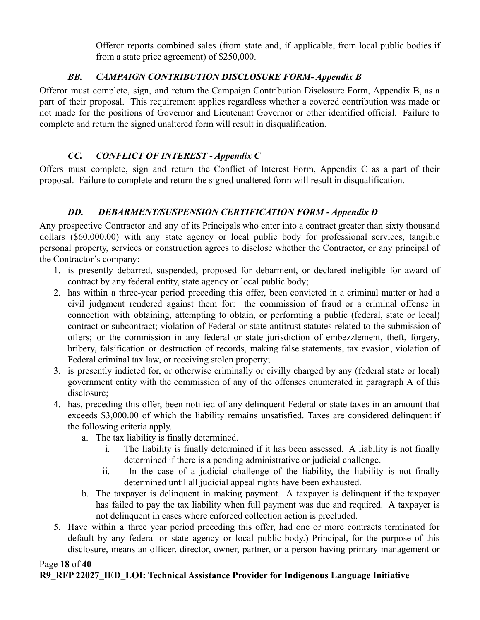Offeror reports combined sales (from state and, if applicable, from local public bodies if from a state price agreement) of \$250,000.

# *BB. CAMPAIGN CONTRIBUTION DISCLOSURE FORM- Appendix B*

<span id="page-17-0"></span>Offeror must complete, sign, and return the Campaign Contribution Disclosure Form, Appendix B, as a part of their proposal. This requirement applies regardless whether a covered contribution was made or not made for the positions of Governor and Lieutenant Governor or other identified official. Failure to complete and return the signed unaltered form will result in disqualification.

# *CC. CONFLICT OF INTEREST - Appendix C*

<span id="page-17-1"></span>Offers must complete, sign and return the Conflict of Interest Form, Appendix C as a part of their proposal. Failure to complete and return the signed unaltered form will result in disqualification.

# *DD. DEBARMENT/SUSPENSION CERTIFICATION FORM - Appendix D*

<span id="page-17-2"></span>Any prospective Contractor and any of its Principals who enter into a contract greater than sixty thousand dollars (\$60,000.00) with any state agency or local public body for professional services, tangible personal property, services or construction agrees to disclose whether the Contractor, or any principal of the Contractor's company:

- 1. is presently debarred, suspended, proposed for debarment, or declared ineligible for award of contract by any federal entity, state agency or local public body;
- 2. has within a three-year period preceding this offer, been convicted in a criminal matter or had a civil judgment rendered against them for: the commission of fraud or a criminal offense in connection with obtaining, attempting to obtain, or performing a public (federal, state or local) contract or subcontract; violation of Federal or state antitrust statutes related to the submission of offers; or the commission in any federal or state jurisdiction of embezzlement, theft, forgery, bribery, falsification or destruction of records, making false statements, tax evasion, violation of Federal criminal tax law, or receiving stolen property;
- 3. is presently indicted for, or otherwise criminally or civilly charged by any (federal state or local) government entity with the commission of any of the offenses enumerated in paragraph A of this disclosure;
- 4. has, preceding this offer, been notified of any delinquent Federal or state taxes in an amount that exceeds \$3,000.00 of which the liability remains unsatisfied. Taxes are considered delinquent if the following criteria apply.
	- a. The tax liability is finally determined.
		- i. The liability is finally determined if it has been assessed. A liability is not finally determined if there is a pending administrative or judicial challenge.
		- ii. In the case of a judicial challenge of the liability, the liability is not finally determined until all judicial appeal rights have been exhausted.
	- b. The taxpayer is delinquent in making payment. A taxpayer is delinquent if the taxpayer has failed to pay the tax liability when full payment was due and required. A taxpayer is not delinquent in cases where enforced collection action is precluded.
- 5. Have within a three year period preceding this offer, had one or more contracts terminated for default by any federal or state agency or local public body.) Principal, for the purpose of this disclosure, means an officer, director, owner, partner, or a person having primary management or

#### Page **18** of **40 R9\_RFP 22027\_IED\_LOI: Technical Assistance Provider for Indigenous Language Initiative**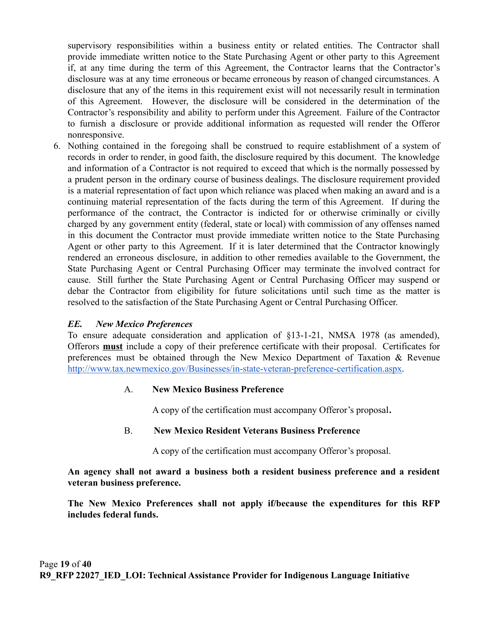supervisory responsibilities within a business entity or related entities. The Contractor shall provide immediate written notice to the State Purchasing Agent or other party to this Agreement if, at any time during the term of this Agreement, the Contractor learns that the Contractor's disclosure was at any time erroneous or became erroneous by reason of changed circumstances. A disclosure that any of the items in this requirement exist will not necessarily result in termination of this Agreement. However, the disclosure will be considered in the determination of the Contractor's responsibility and ability to perform under this Agreement. Failure of the Contractor to furnish a disclosure or provide additional information as requested will render the Offeror nonresponsive.

6. Nothing contained in the foregoing shall be construed to require establishment of a system of records in order to render, in good faith, the disclosure required by this document. The knowledge and information of a Contractor is not required to exceed that which is the normally possessed by a prudent person in the ordinary course of business dealings. The disclosure requirement provided is a material representation of fact upon which reliance was placed when making an award and is a continuing material representation of the facts during the term of this Agreement. If during the performance of the contract, the Contractor is indicted for or otherwise criminally or civilly charged by any government entity (federal, state or local) with commission of any offenses named in this document the Contractor must provide immediate written notice to the State Purchasing Agent or other party to this Agreement. If it is later determined that the Contractor knowingly rendered an erroneous disclosure, in addition to other remedies available to the Government, the State Purchasing Agent or Central Purchasing Officer may terminate the involved contract for cause. Still further the State Purchasing Agent or Central Purchasing Officer may suspend or debar the Contractor from eligibility for future solicitations until such time as the matter is resolved to the satisfaction of the State Purchasing Agent or Central Purchasing Officer.

### *EE. New Mexico Preferences*

To ensure adequate consideration and application of §13-1-21, NMSA 1978 (as amended), Offerors **must** include a copy of their preference certificate with their proposal. Certificates for preferences must be obtained through the New Mexico Department of Taxation & Revenu[e](http://www.tax.newmexico.gov/Businesses/in-state-veteran-preference-certification.aspx) [http://www.tax.newmexico.gov/Businesses/in-state-veteran-preference-certification.aspx.](http://www.tax.newmexico.gov/Businesses/in-state-veteran-preference-certification.aspx)

### A. **New Mexico Business Preference**

A copy of the certification must accompany Offeror's proposal**.**

### B. **New Mexico Resident Veterans Business Preference**

A copy of the certification must accompany Offeror's proposal.

**An agency shall not award a business both a resident business preference and a resident veteran business preference.**

**The New Mexico Preferences shall not apply if/because the expenditures for this RFP includes federal funds.**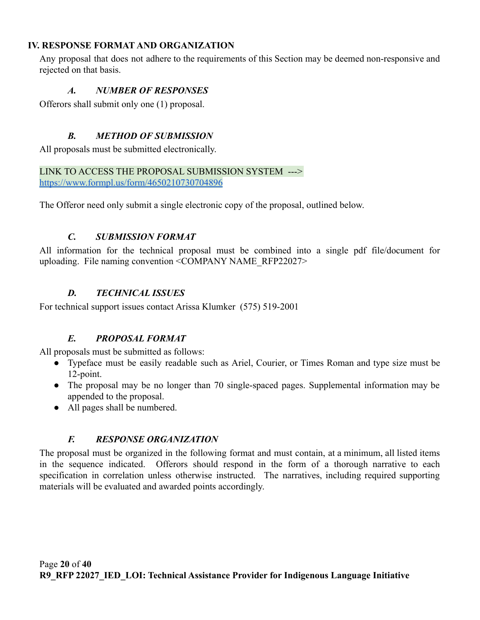### <span id="page-19-0"></span>**IV. RESPONSE FORMAT AND ORGANIZATION**

<span id="page-19-1"></span>Any proposal that does not adhere to the requirements of this Section may be deemed non-responsive and rejected on that basis.

### *A. NUMBER OF RESPONSES*

<span id="page-19-2"></span>Offerors shall submit only one (1) proposal.

### *B. METHOD OF SUBMISSION*

All proposals must be submitted electronically.

#### LINK TO ACCESS THE PROPOSAL SUBMISSION SYSTEM ---> <https://www.formpl.us/form/4650210730704896>

<span id="page-19-3"></span>The Offeror need only submit a single electronic copy of the proposal, outlined below.

### *C. SUBMISSION FORMAT*

All information for the technical proposal must be combined into a single pdf file/document for uploading. File naming convention <COMPANY NAME\_RFP22027>

## *D. TECHNICAL ISSUES*

<span id="page-19-5"></span><span id="page-19-4"></span>For technical support issues contact Arissa Klumker (575) 519-2001

## *E. PROPOSAL FORMAT*

All proposals must be submitted as follows:

- Typeface must be easily readable such as Ariel, Courier, or Times Roman and type size must be 12-point.
- The proposal may be no longer than 70 single-spaced pages. Supplemental information may be appended to the proposal.
- All pages shall be numbered.

## *F. RESPONSE ORGANIZATION*

<span id="page-19-6"></span>The proposal must be organized in the following format and must contain, at a minimum, all listed items in the sequence indicated. Offerors should respond in the form of a thorough narrative to each specification in correlation unless otherwise instructed. The narratives, including required supporting materials will be evaluated and awarded points accordingly.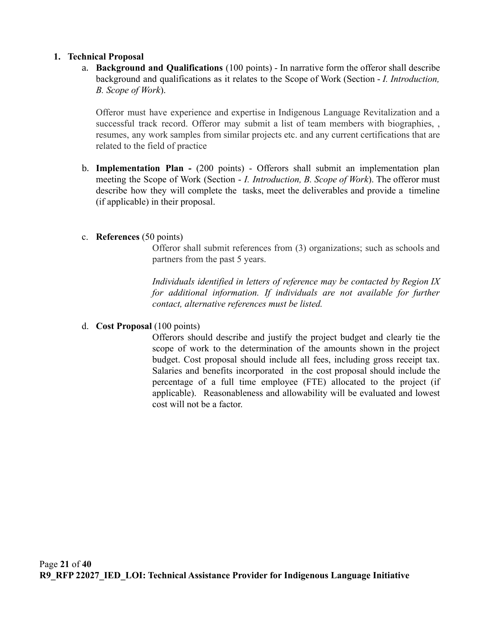#### **1. Technical Proposal**

a. **Background and Qualifications** (100 points) - In narrative form the offeror shall describe background and qualifications as it relates to the Scope of Work (Section - *I. Introduction, B. Scope of Work*).

Offeror must have experience and expertise in Indigenous Language Revitalization and a successful track record. Offeror may submit a list of team members with biographies, , resumes, any work samples from similar projects etc. and any current certifications that are related to the field of practice

b. **Implementation Plan -** (200 points) - Offerors shall submit an implementation plan meeting the Scope of Work (Section - *I. Introduction, B. Scope of Work*). The offeror must describe how they will complete the tasks, meet the deliverables and provide a timeline (if applicable) in their proposal.

### c. **References** (50 points)

Offeror shall submit references from (3) organizations; such as schools and partners from the past 5 years.

*Individuals identified in letters of reference may be contacted by Region IX for additional information. If individuals are not available for further contact, alternative references must be listed.*

d. **Cost Proposal** (100 points)

Offerors should describe and justify the project budget and clearly tie the scope of work to the determination of the amounts shown in the project budget. Cost proposal should include all fees, including gross receipt tax. Salaries and benefits incorporated in the cost proposal should include the percentage of a full time employee (FTE) allocated to the project (if applicable). Reasonableness and allowability will be evaluated and lowest cost will not be a factor.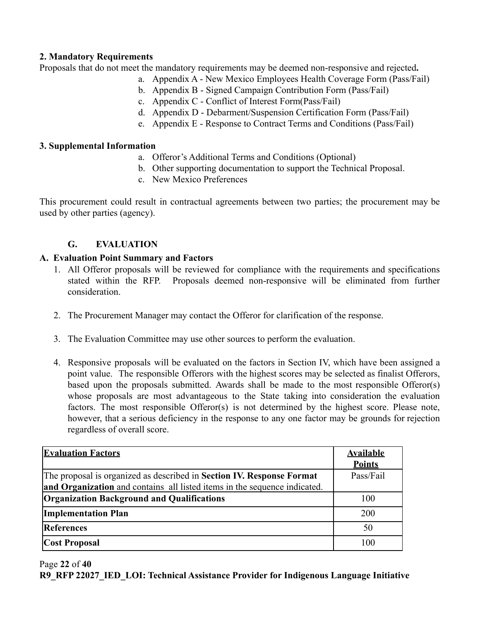### **2. Mandatory Requirements**

Proposals that do not meet the mandatory requirements may be deemed non-responsive and rejected**.**

- a. Appendix A New Mexico Employees Health Coverage Form (Pass/Fail)
- b. Appendix B Signed Campaign Contribution Form (Pass/Fail)
- c. Appendix C Conflict of Interest Form(Pass/Fail)
- d. Appendix D Debarment/Suspension Certification Form (Pass/Fail)
- e. Appendix E Response to Contract Terms and Conditions (Pass/Fail)

### **3. Supplemental Information**

- a. Offeror's Additional Terms and Conditions (Optional)
- b. Other supporting documentation to support the Technical Proposal.
- c. New Mexico Preferences

This procurement could result in contractual agreements between two parties; the procurement may be used by other parties (agency).

## **G. EVALUATION**

### <span id="page-21-0"></span>**A. Evaluation Point Summary and Factors**

- 1. All Offeror proposals will be reviewed for compliance with the requirements and specifications stated within the RFP. Proposals deemed non-responsive will be eliminated from further consideration.
- 2. The Procurement Manager may contact the Offeror for clarification of the response.
- 3. The Evaluation Committee may use other sources to perform the evaluation.
- 4. Responsive proposals will be evaluated on the factors in Section IV, which have been assigned a point value. The responsible Offerors with the highest scores may be selected as finalist Offerors, based upon the proposals submitted. Awards shall be made to the most responsible Offeror(s) whose proposals are most advantageous to the State taking into consideration the evaluation factors. The most responsible Offeror(s) is not determined by the highest score. Please note, however, that a serious deficiency in the response to any one factor may be grounds for rejection regardless of overall score.

| <b>Evaluation Factors</b>                                                 | <b>Available</b><br><b>Points</b> |
|---------------------------------------------------------------------------|-----------------------------------|
| The proposal is organized as described in Section IV. Response Format     | Pass/Fail                         |
| and Organization and contains all listed items in the sequence indicated. |                                   |
| Organization Background and Qualifications                                | 100                               |
| <b>Implementation Plan</b>                                                | 200                               |
| <b>References</b>                                                         | 50                                |
| <b>Cost Proposal</b>                                                      | 100                               |

### Page **22** of **40 R9\_RFP 22027\_IED\_LOI: Technical Assistance Provider for Indigenous Language Initiative**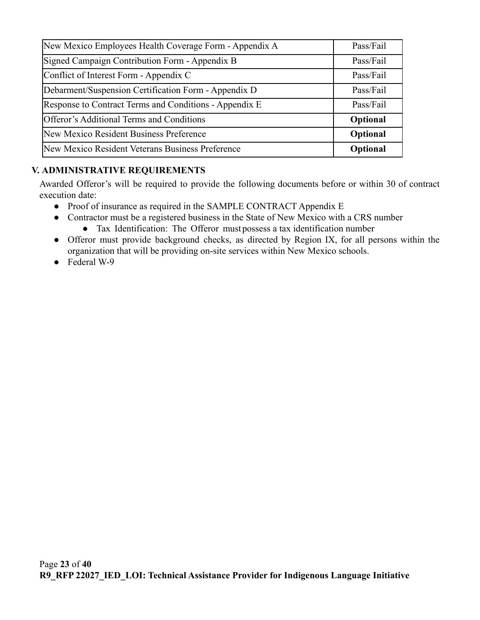| New Mexico Employees Health Coverage Form - Appendix A | Pass/Fail |
|--------------------------------------------------------|-----------|
| Signed Campaign Contribution Form - Appendix B         | Pass/Fail |
| Conflict of Interest Form - Appendix C                 | Pass/Fail |
| Debarment/Suspension Certification Form - Appendix D   | Pass/Fail |
| Response to Contract Terms and Conditions - Appendix E | Pass/Fail |
| Offeror's Additional Terms and Conditions              | Optional  |
| New Mexico Resident Business Preference                | Optional  |
| New Mexico Resident Veterans Business Preference       | Optional  |

## <span id="page-22-0"></span>**V. ADMINISTRATIVE REQUIREMENTS**

Awarded Offeror's will be required to provide the following documents before or within 30 of contract execution date:

- Proof of insurance as required in the SAMPLE CONTRACT Appendix E
- Contractor must be a registered business in the State of New Mexico with a CRS number ● Tax Identification: The Offeror mustpossess a tax identification number
- Offeror must provide background checks, as directed by Region IX, for all persons within the organization that will be providing on-site services within New Mexico schools.
- Federal W-9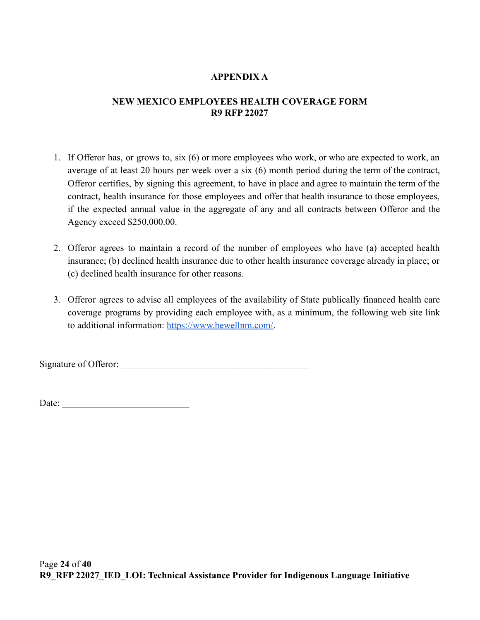## **APPENDIX A**

### <span id="page-23-0"></span>**NEW MEXICO EMPLOYEES HEALTH COVERAGE FORM R9 RFP 22027**

- 1. If Offeror has, or grows to, six (6) or more employees who work, or who are expected to work, an average of at least 20 hours per week over a six (6) month period during the term of the contract, Offeror certifies, by signing this agreement, to have in place and agree to maintain the term of the contract, health insurance for those employees and offer that health insurance to those employees, if the expected annual value in the aggregate of any and all contracts between Offeror and the Agency exceed \$250,000.00.
- 2. Offeror agrees to maintain a record of the number of employees who have (a) accepted health insurance; (b) declined health insurance due to other health insurance coverage already in place; or (c) declined health insurance for other reasons.
- 3. Offeror agrees to advise all employees of the availability of State publically financed health care coverage programs by providing each employee with, as a minimum, the following web site link to additional information: [https://www.bewellnm.com/.](https://www.bewellnm.com/)

Signature of Offeror: \_\_\_\_\_\_\_\_\_\_\_\_\_\_\_\_\_\_\_\_\_\_\_\_\_\_\_\_\_\_\_\_\_\_\_\_\_\_\_\_

Date:  $\frac{1}{2}$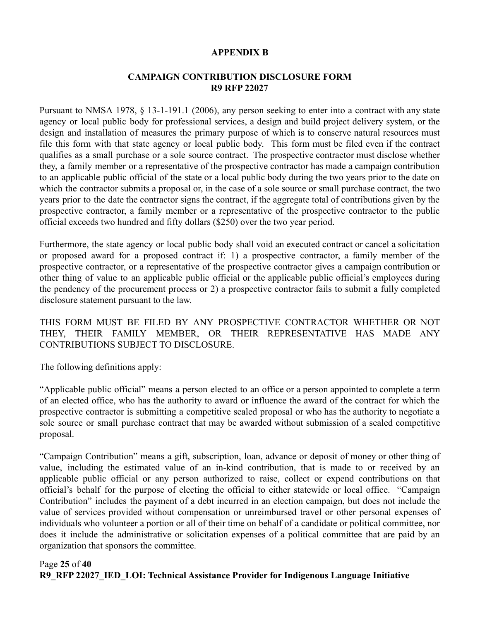#### **APPENDIX B**

### **CAMPAIGN CONTRIBUTION DISCLOSURE FORM R9 RFP 22027**

<span id="page-24-0"></span>Pursuant to NMSA 1978, § 13-1-191.1 (2006), any person seeking to enter into a contract with any state agency or local public body for professional services, a design and build project delivery system, or the design and installation of measures the primary purpose of which is to conserve natural resources must file this form with that state agency or local public body. This form must be filed even if the contract qualifies as a small purchase or a sole source contract. The prospective contractor must disclose whether they, a family member or a representative of the prospective contractor has made a campaign contribution to an applicable public official of the state or a local public body during the two years prior to the date on which the contractor submits a proposal or, in the case of a sole source or small purchase contract, the two years prior to the date the contractor signs the contract, if the aggregate total of contributions given by the prospective contractor, a family member or a representative of the prospective contractor to the public official exceeds two hundred and fifty dollars (\$250) over the two year period.

Furthermore, the state agency or local public body shall void an executed contract or cancel a solicitation or proposed award for a proposed contract if: 1) a prospective contractor, a family member of the prospective contractor, or a representative of the prospective contractor gives a campaign contribution or other thing of value to an applicable public official or the applicable public official's employees during the pendency of the procurement process or 2) a prospective contractor fails to submit a fully completed disclosure statement pursuant to the law.

THIS FORM MUST BE FILED BY ANY PROSPECTIVE CONTRACTOR WHETHER OR NOT THEY, THEIR FAMILY MEMBER, OR THEIR REPRESENTATIVE HAS MADE ANY CONTRIBUTIONS SUBJECT TO DISCLOSURE.

The following definitions apply:

"Applicable public official" means a person elected to an office or a person appointed to complete a term of an elected office, who has the authority to award or influence the award of the contract for which the prospective contractor is submitting a competitive sealed proposal or who has the authority to negotiate a sole source or small purchase contract that may be awarded without submission of a sealed competitive proposal.

"Campaign Contribution" means a gift, subscription, loan, advance or deposit of money or other thing of value, including the estimated value of an in-kind contribution, that is made to or received by an applicable public official or any person authorized to raise, collect or expend contributions on that official's behalf for the purpose of electing the official to either statewide or local office. "Campaign Contribution" includes the payment of a debt incurred in an election campaign, but does not include the value of services provided without compensation or unreimbursed travel or other personal expenses of individuals who volunteer a portion or all of their time on behalf of a candidate or political committee, nor does it include the administrative or solicitation expenses of a political committee that are paid by an organization that sponsors the committee.

### Page **25** of **40 R9\_RFP 22027\_IED\_LOI: Technical Assistance Provider for Indigenous Language Initiative**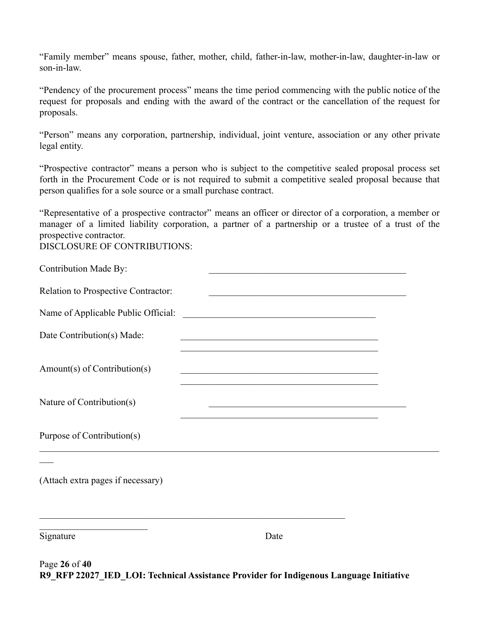"Family member" means spouse, father, mother, child, father-in-law, mother-in-law, daughter-in-law or son-in-law.

"Pendency of the procurement process" means the time period commencing with the public notice of the request for proposals and ending with the award of the contract or the cancellation of the request for proposals.

"Person" means any corporation, partnership, individual, joint venture, association or any other private legal entity.

"Prospective contractor" means a person who is subject to the competitive sealed proposal process set forth in the Procurement Code or is not required to submit a competitive sealed proposal because that person qualifies for a sole source or a small purchase contract.

"Representative of a prospective contractor" means an officer or director of a corporation, a member or manager of a limited liability corporation, a partner of a partnership or a trustee of a trust of the prospective contractor.

DISCLOSURE OF CONTRIBUTIONS:

| <b>Contribution Made By:</b>        | the control of the control of the control of the control of the control of the control of                             |  |
|-------------------------------------|-----------------------------------------------------------------------------------------------------------------------|--|
| Relation to Prospective Contractor: | <u> 1990 - Johann John Stoff, amerikan besteckte besteckte en de staat in de staat in de staat in de staat in de</u>  |  |
| Name of Applicable Public Official: | <u> Alexandria de la contrada de la contrada de la contrada de la contrada de la contrada de la contrada de la c</u>  |  |
| Date Contribution(s) Made:          | <u> 1989 - Johann John Stein, marwolaethau (b. 1989)</u>                                                              |  |
| Amount(s) of Contribution(s)        | <u> 1989 - Johann John Stone, market fan de Amerikaanske kommunister oant it ferskearre fan de Fryske kommunister</u> |  |
| Nature of Contribution(s)           | the control of the control of the control of the control of the control of the control of                             |  |
| Purpose of Contribution(s)          |                                                                                                                       |  |
| (Attach extra pages if necessary)   |                                                                                                                       |  |
| Signature                           | Date                                                                                                                  |  |

Page **26** of **40 R9\_RFP 22027\_IED\_LOI: Technical Assistance Provider for Indigenous Language Initiative**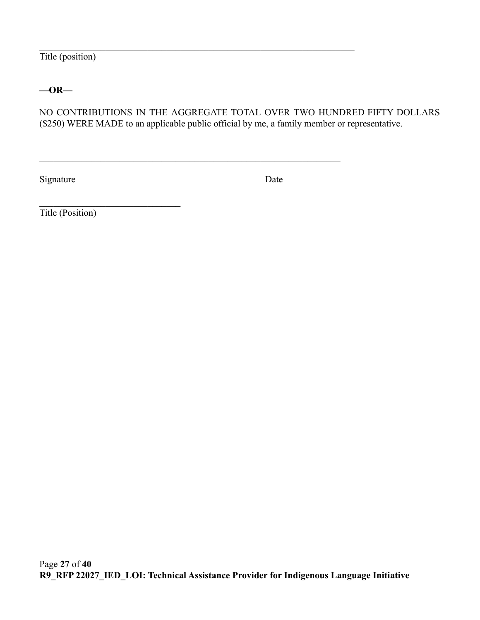Title (position)

### **—OR—**

NO CONTRIBUTIONS IN THE AGGREGATE TOTAL OVER TWO HUNDRED FIFTY DOLLARS (\$250) WERE MADE to an applicable public official by me, a family member or representative.

 $\mathcal{L}_\mathcal{L} = \{ \mathcal{L}_\mathcal{L} = \{ \mathcal{L}_\mathcal{L} = \{ \mathcal{L}_\mathcal{L} = \{ \mathcal{L}_\mathcal{L} = \{ \mathcal{L}_\mathcal{L} = \{ \mathcal{L}_\mathcal{L} = \{ \mathcal{L}_\mathcal{L} = \{ \mathcal{L}_\mathcal{L} = \{ \mathcal{L}_\mathcal{L} = \{ \mathcal{L}_\mathcal{L} = \{ \mathcal{L}_\mathcal{L} = \{ \mathcal{L}_\mathcal{L} = \{ \mathcal{L}_\mathcal{L} = \{ \mathcal{L}_\mathcal{$ 

 $\mathcal{L}_\text{max}$  , and the contribution of the contribution of the contribution of the contribution of the contribution of the contribution of the contribution of the contribution of the contribution of the contribution of t

Signature Date

Title (Position)

\_\_\_\_\_\_\_\_\_\_\_\_\_\_\_\_\_\_\_\_\_\_\_

 $\mathcal{L}_\text{max}$  , where  $\mathcal{L}_\text{max}$  and  $\mathcal{L}_\text{max}$  and  $\mathcal{L}_\text{max}$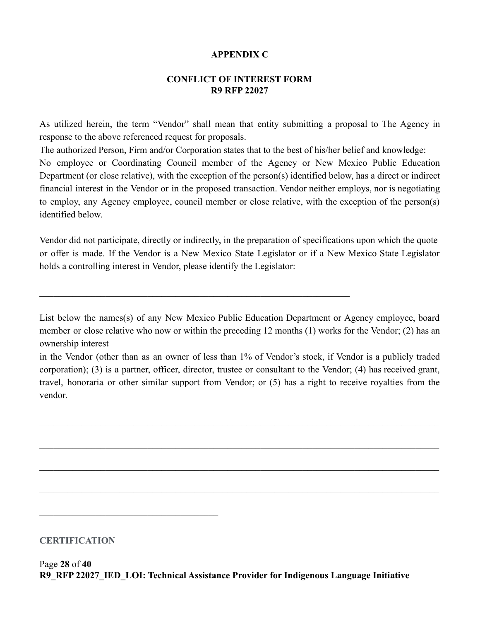### **APPENDIX C**

### **CONFLICT OF INTEREST FORM R9 RFP 22027**

<span id="page-27-0"></span>As utilized herein, the term "Vendor" shall mean that entity submitting a proposal to The Agency in response to the above referenced request for proposals.

The authorized Person, Firm and/or Corporation states that to the best of his/her belief and knowledge: No employee or Coordinating Council member of the Agency or New Mexico Public Education Department (or close relative), with the exception of the person(s) identified below, has a direct or indirect financial interest in the Vendor or in the proposed transaction. Vendor neither employs, nor is negotiating to employ, any Agency employee, council member or close relative, with the exception of the person(s) identified below.

Vendor did not participate, directly or indirectly, in the preparation of specifications upon which the quote or offer is made. If the Vendor is a New Mexico State Legislator or if a New Mexico State Legislator holds a controlling interest in Vendor, please identify the Legislator:

 $\mathcal{L}_\mathcal{L} = \{ \mathcal{L}_\mathcal{L} = \{ \mathcal{L}_\mathcal{L} = \{ \mathcal{L}_\mathcal{L} = \{ \mathcal{L}_\mathcal{L} = \{ \mathcal{L}_\mathcal{L} = \{ \mathcal{L}_\mathcal{L} = \{ \mathcal{L}_\mathcal{L} = \{ \mathcal{L}_\mathcal{L} = \{ \mathcal{L}_\mathcal{L} = \{ \mathcal{L}_\mathcal{L} = \{ \mathcal{L}_\mathcal{L} = \{ \mathcal{L}_\mathcal{L} = \{ \mathcal{L}_\mathcal{L} = \{ \mathcal{L}_\mathcal{$ 

List below the names(s) of any New Mexico Public Education Department or Agency employee, board member or close relative who now or within the preceding 12 months (1) works for the Vendor; (2) has an ownership interest

in the Vendor (other than as an owner of less than 1% of Vendor's stock, if Vendor is a publicly traded corporation); (3) is a partner, officer, director, trustee or consultant to the Vendor; (4) has received grant, travel, honoraria or other similar support from Vendor; or (5) has a right to receive royalties from the vendor.

 $\_$  , and the contribution of the contribution of the contribution of the contribution of  $\mathcal{L}_\text{max}$ 

 $\_$  , and the contribution of the contribution of the contribution of the contribution of  $\mathcal{L}_\text{max}$ 

 $\_$  , and the contribution of the contribution of the contribution of the contribution of  $\mathcal{L}_\text{max}$ 

 $\_$  , and the contribution of the contribution of the contribution of the contribution of  $\mathcal{L}_\text{max}$ 

### **CERTIFICATION**

 $\mathcal{L}_\text{max}$  and  $\mathcal{L}_\text{max}$  and  $\mathcal{L}_\text{max}$  and  $\mathcal{L}_\text{max}$ 

Page **28** of **40 R9\_RFP 22027\_IED\_LOI: Technical Assistance Provider for Indigenous Language Initiative**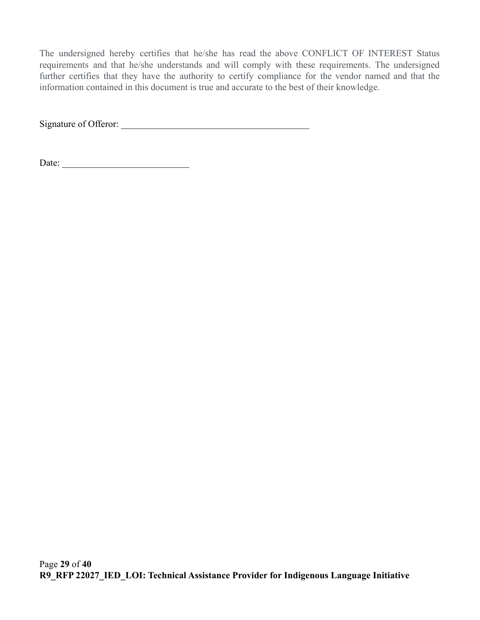The undersigned hereby certifies that he/she has read the above CONFLICT OF INTEREST Status requirements and that he/she understands and will comply with these requirements. The undersigned further certifies that they have the authority to certify compliance for the vendor named and that the information contained in this document is true and accurate to the best of their knowledge.

Signature of Offeror: \_\_\_\_\_\_\_\_\_\_\_\_\_\_\_\_\_\_\_\_\_\_\_\_\_\_\_\_\_\_\_\_\_\_\_\_\_\_\_\_

Date: \_\_\_\_\_\_\_\_\_\_\_\_\_\_\_\_\_\_\_\_\_\_\_\_\_\_\_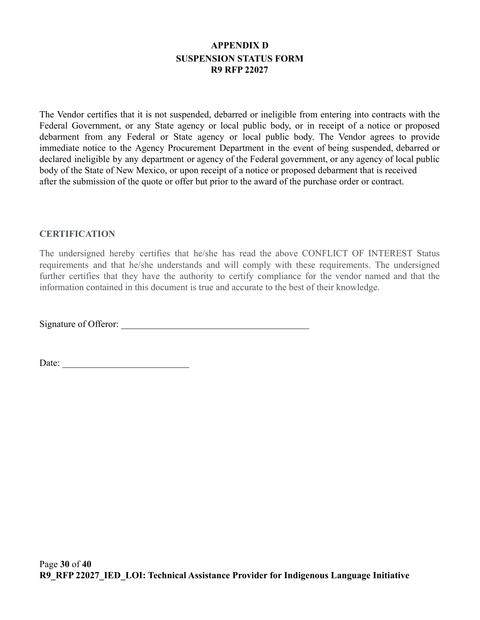# **APPENDIX D SUSPENSION STATUS FORM R9 RFP 22027**

<span id="page-29-0"></span>The Vendor certifies that it is not suspended, debarred or ineligible from entering into contracts with the Federal Government, or any State agency or local public body, or in receipt of a notice or proposed debarment from any Federal or State agency or local public body. The Vendor agrees to provide immediate notice to the Agency Procurement Department in the event of being suspended, debarred or declared ineligible by any department or agency of the Federal government, or any agency of local public body of the State of New Mexico, or upon receipt of a notice or proposed debarment that is received after the submission of the quote or offer but prior to the award of the purchase order or contract.

#### **CERTIFICATION**

The undersigned hereby certifies that he/she has read the above CONFLICT OF INTEREST Status requirements and that he/she understands and will comply with these requirements. The undersigned further certifies that they have the authority to certify compliance for the vendor named and that the information contained in this document is true and accurate to the best of their knowledge.

Signature of Offeror: \_\_\_\_\_\_\_\_\_\_\_\_\_\_\_\_\_\_\_\_\_\_\_\_\_\_\_\_\_\_\_\_\_\_\_\_\_\_\_\_

Date: \_\_\_\_\_\_\_\_\_\_\_\_\_\_\_\_\_\_\_\_\_\_\_\_\_\_\_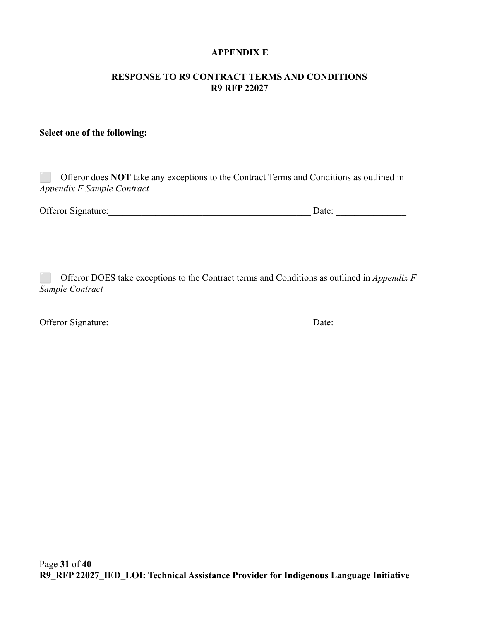#### **APPENDIX E**

#### <span id="page-30-0"></span>**RESPONSE TO R9 CONTRACT TERMS AND CONDITIONS R9 RFP 22027**

### **Select one of the following:**

| Offeror does <b>NOT</b> take any exceptions to the Contract Terms and Conditions as outlined in<br>Appendix F Sample Contract |                                                                                                  |  |
|-------------------------------------------------------------------------------------------------------------------------------|--------------------------------------------------------------------------------------------------|--|
| <b>Offeror Signature:</b>                                                                                                     | Date:                                                                                            |  |
|                                                                                                                               |                                                                                                  |  |
|                                                                                                                               | Offeror DOES take exceptions to the Contract terms and Conditions as outlined in <i>Annendix</i> |  |

⬜ Offeror DOES take exceptions to the Contract terms and Conditions as outlined in *Appendix F Sample Contract*

| Offeror Signature: | Date: |  |
|--------------------|-------|--|
|                    |       |  |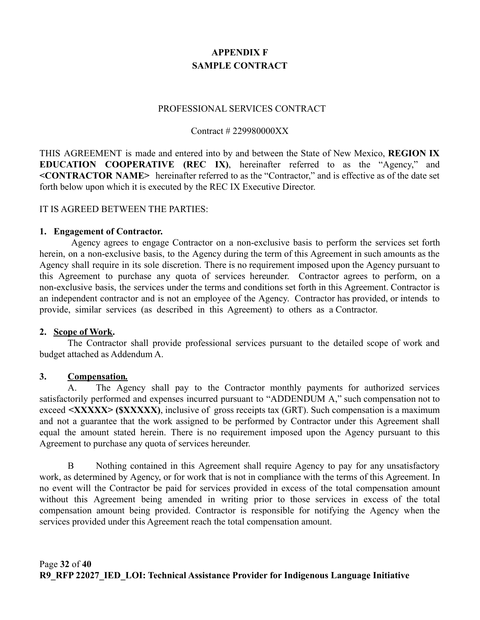# **APPENDIX F SAMPLE CONTRACT**

#### PROFESSIONAL SERVICES CONTRACT

#### Contract # 229980000XX

<span id="page-31-0"></span>THIS AGREEMENT is made and entered into by and between the State of New Mexico, **REGION IX EDUCATION COOPERATIVE (REC IX)**, hereinafter referred to as the "Agency," and **<CONTRACTOR NAME>** hereinafter referred to as the "Contractor," and is effective as of the date set forth below upon which it is executed by the REC IX Executive Director.

#### IT IS AGREED BETWEEN THE PARTIES:

#### **1. Engagement of Contractor.**

Agency agrees to engage Contractor on a non-exclusive basis to perform the services set forth herein, on a non-exclusive basis, to the Agency during the term of this Agreement in such amounts as the Agency shall require in its sole discretion. There is no requirement imposed upon the Agency pursuant to this Agreement to purchase any quota of services hereunder. Contractor agrees to perform, on a non-exclusive basis, the services under the terms and conditions set forth in this Agreement. Contractor is an independent contractor and is not an employee of the Agency. Contractor has provided, or intends to provide, similar services (as described in this Agreement) to others as a Contractor.

#### **2. Scope of Work.**

The Contractor shall provide professional services pursuant to the detailed scope of work and budget attached as Addendum A.

#### **3. Compensation***.*

A. The Agency shall pay to the Contractor monthly payments for authorized services satisfactorily performed and expenses incurred pursuant to "ADDENDUM A," such compensation not to exceed **<XXXXX>** (**\$XXXXX**), inclusive of gross receipts tax (GRT). Such compensation is a maximum and not a guarantee that the work assigned to be performed by Contractor under this Agreement shall equal the amount stated herein. There is no requirement imposed upon the Agency pursuant to this Agreement to purchase any quota of services hereunder.

B Nothing contained in this Agreement shall require Agency to pay for any unsatisfactory work, as determined by Agency, or for work that is not in compliance with the terms of this Agreement. In no event will the Contractor be paid for services provided in excess of the total compensation amount without this Agreement being amended in writing prior to those services in excess of the total compensation amount being provided. Contractor is responsible for notifying the Agency when the services provided under this Agreement reach the total compensation amount.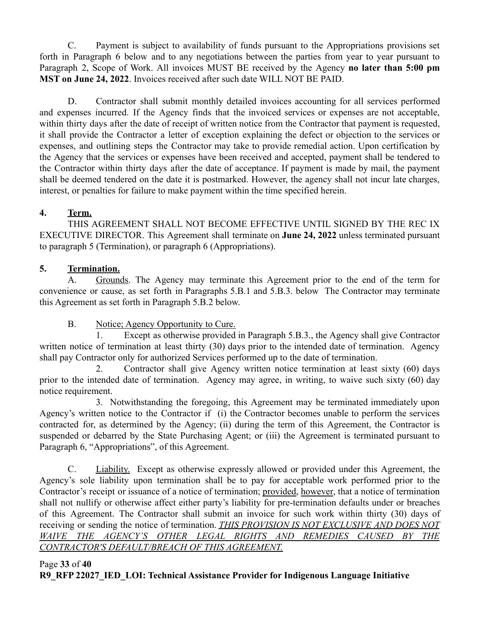C. Payment is subject to availability of funds pursuant to the Appropriations provisions set forth in Paragraph 6 below and to any negotiations between the parties from year to year pursuant to Paragraph 2, Scope of Work. All invoices MUST BE received by the Agency **no later than 5:00 pm MST on June 24, 2022**. Invoices received after such date WILL NOT BE PAID.

D. Contractor shall submit monthly detailed invoices accounting for all services performed and expenses incurred. If the Agency finds that the invoiced services or expenses are not acceptable, within thirty days after the date of receipt of written notice from the Contractor that payment is requested, it shall provide the Contractor a letter of exception explaining the defect or objection to the services or expenses, and outlining steps the Contractor may take to provide remedial action. Upon certification by the Agency that the services or expenses have been received and accepted, payment shall be tendered to the Contractor within thirty days after the date of acceptance. If payment is made by mail, the payment shall be deemed tendered on the date it is postmarked. However, the agency shall not incur late charges, interest, or penalties for failure to make payment within the time specified herein.

# **4. Term.**

THIS AGREEMENT SHALL NOT BECOME EFFECTIVE UNTIL SIGNED BY THE REC IX EXECUTIVE DIRECTOR. This Agreement shall terminate on **June 24, 2022** unless terminated pursuant to paragraph 5 (Termination), or paragraph 6 (Appropriations).

# **5. Termination.**

A. Grounds. The Agency may terminate this Agreement prior to the end of the term for convenience or cause, as set forth in Paragraphs 5.B.1 and 5.B.3. below The Contractor may terminate this Agreement as set forth in Paragraph 5.B.2 below.

## B. Notice; Agency Opportunity to Cure.

1. Except as otherwise provided in Paragraph 5.B.3., the Agency shall give Contractor written notice of termination at least thirty (30) days prior to the intended date of termination. Agency shall pay Contractor only for authorized Services performed up to the date of termination.

2. Contractor shall give Agency written notice termination at least sixty (60) days prior to the intended date of termination. Agency may agree, in writing, to waive such sixty (60) day notice requirement.

3. Notwithstanding the foregoing, this Agreement may be terminated immediately upon Agency's written notice to the Contractor if (i) the Contractor becomes unable to perform the services contracted for, as determined by the Agency; (ii) during the term of this Agreement, the Contractor is suspended or debarred by the State Purchasing Agent; or (iii) the Agreement is terminated pursuant to Paragraph 6, "Appropriations", of this Agreement.

C. Liability. Except as otherwise expressly allowed or provided under this Agreement, the Agency's sole liability upon termination shall be to pay for acceptable work performed prior to the Contractor's receipt or issuance of a notice of termination; provided, however, that a notice of termination shall not nullify or otherwise affect either party's liability for pre-termination defaults under or breaches of this Agreement. The Contractor shall submit an invoice for such work within thirty (30) days of receiving or sending the notice of termination. *THIS PROVISION IS NOT EXCLUSIVE AND DOES NOT WAIVE THE AGENCY'S OTHER LEGAL RIGHTS AND REMEDIES CAUSED BY THE CONTRACTOR'S DEFAULT/BREACH OF THIS AGREEMENT.*

### Page **33** of **40 R9\_RFP 22027\_IED\_LOI: Technical Assistance Provider for Indigenous Language Initiative**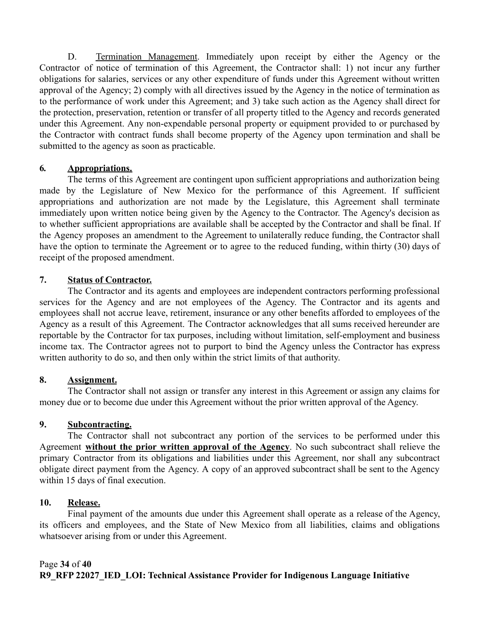D. Termination Management. Immediately upon receipt by either the Agency or the Contractor of notice of termination of this Agreement, the Contractor shall: 1) not incur any further obligations for salaries, services or any other expenditure of funds under this Agreement without written approval of the Agency; 2) comply with all directives issued by the Agency in the notice of termination as to the performance of work under this Agreement; and 3) take such action as the Agency shall direct for the protection, preservation, retention or transfer of all property titled to the Agency and records generated under this Agreement. Any non-expendable personal property or equipment provided to or purchased by the Contractor with contract funds shall become property of the Agency upon termination and shall be submitted to the agency as soon as practicable.

### **6***.* **Appropriations.**

The terms of this Agreement are contingent upon sufficient appropriations and authorization being made by the Legislature of New Mexico for the performance of this Agreement. If sufficient appropriations and authorization are not made by the Legislature, this Agreement shall terminate immediately upon written notice being given by the Agency to the Contractor. The Agency's decision as to whether sufficient appropriations are available shall be accepted by the Contractor and shall be final. If the Agency proposes an amendment to the Agreement to unilaterally reduce funding, the Contractor shall have the option to terminate the Agreement or to agree to the reduced funding, within thirty (30) days of receipt of the proposed amendment.

### **7. Status of Contractor.**

The Contractor and its agents and employees are independent contractors performing professional services for the Agency and are not employees of the Agency. The Contractor and its agents and employees shall not accrue leave, retirement, insurance or any other benefits afforded to employees of the Agency as a result of this Agreement. The Contractor acknowledges that all sums received hereunder are reportable by the Contractor for tax purposes, including without limitation, self-employment and business income tax. The Contractor agrees not to purport to bind the Agency unless the Contractor has express written authority to do so, and then only within the strict limits of that authority.

## **8. Assignment.**

The Contractor shall not assign or transfer any interest in this Agreement or assign any claims for money due or to become due under this Agreement without the prior written approval of the Agency.

## **9. Subcontracting.**

The Contractor shall not subcontract any portion of the services to be performed under this Agreement **without the prior written approval of the Agency**. No such subcontract shall relieve the primary Contractor from its obligations and liabilities under this Agreement, nor shall any subcontract obligate direct payment from the Agency. A copy of an approved subcontract shall be sent to the Agency within 15 days of final execution.

## **10. Release.**

Final payment of the amounts due under this Agreement shall operate as a release of the Agency, its officers and employees, and the State of New Mexico from all liabilities, claims and obligations whatsoever arising from or under this Agreement.

## Page **34** of **40 R9\_RFP 22027\_IED\_LOI: Technical Assistance Provider for Indigenous Language Initiative**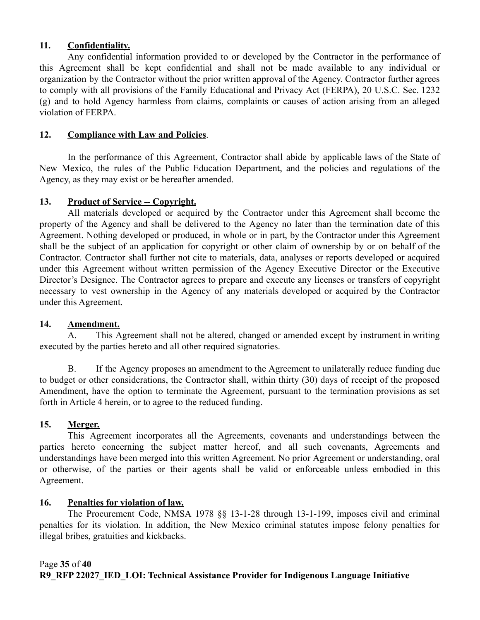### **11. Confidentiality.**

Any confidential information provided to or developed by the Contractor in the performance of this Agreement shall be kept confidential and shall not be made available to any individual or organization by the Contractor without the prior written approval of the Agency. Contractor further agrees to comply with all provisions of the Family Educational and Privacy Act (FERPA), 20 U.S.C. Sec. 1232 (g) and to hold Agency harmless from claims, complaints or causes of action arising from an alleged violation of FERPA.

### **12. Compliance with Law and Policies**.

In the performance of this Agreement, Contractor shall abide by applicable laws of the State of New Mexico, the rules of the Public Education Department, and the policies and regulations of the Agency, as they may exist or be hereafter amended.

### 13. **Product of Service -- Copyright.**

All materials developed or acquired by the Contractor under this Agreement shall become the property of the Agency and shall be delivered to the Agency no later than the termination date of this Agreement. Nothing developed or produced, in whole or in part, by the Contractor under this Agreement shall be the subject of an application for copyright or other claim of ownership by or on behalf of the Contractor. Contractor shall further not cite to materials, data, analyses or reports developed or acquired under this Agreement without written permission of the Agency Executive Director or the Executive Director's Designee. The Contractor agrees to prepare and execute any licenses or transfers of copyright necessary to vest ownership in the Agency of any materials developed or acquired by the Contractor under this Agreement.

### **14. Amendment.**

A. This Agreement shall not be altered, changed or amended except by instrument in writing executed by the parties hereto and all other required signatories.

B. If the Agency proposes an amendment to the Agreement to unilaterally reduce funding due to budget or other considerations, the Contractor shall, within thirty (30) days of receipt of the proposed Amendment, have the option to terminate the Agreement, pursuant to the termination provisions as set forth in Article 4 herein, or to agree to the reduced funding.

## **15. Merger.**

This Agreement incorporates all the Agreements, covenants and understandings between the parties hereto concerning the subject matter hereof, and all such covenants, Agreements and understandings have been merged into this written Agreement. No prior Agreement or understanding, oral or otherwise, of the parties or their agents shall be valid or enforceable unless embodied in this Agreement.

## **16. Penalties for violation of law.**

The Procurement Code, NMSA 1978 §§ 13-1-28 through 13-1-199, imposes civil and criminal penalties for its violation. In addition, the New Mexico criminal statutes impose felony penalties for illegal bribes, gratuities and kickbacks.

### Page **35** of **40 R9\_RFP 22027\_IED\_LOI: Technical Assistance Provider for Indigenous Language Initiative**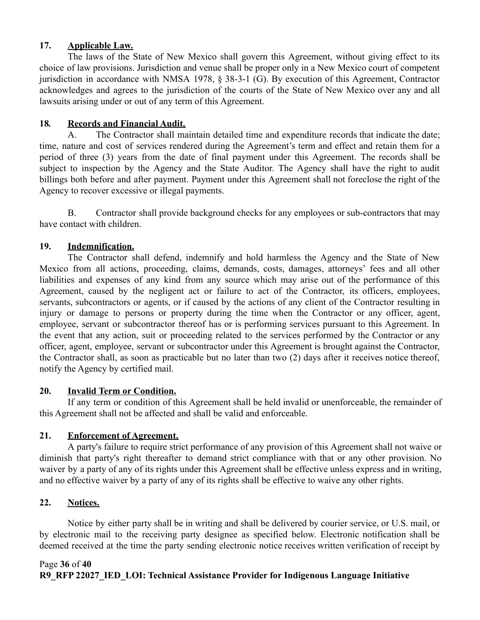### **17. Applicable Law.**

The laws of the State of New Mexico shall govern this Agreement, without giving effect to its choice of law provisions. Jurisdiction and venue shall be proper only in a New Mexico court of competent jurisdiction in accordance with NMSA 1978, § 38-3-1 (G). By execution of this Agreement, Contractor acknowledges and agrees to the jurisdiction of the courts of the State of New Mexico over any and all lawsuits arising under or out of any term of this Agreement.

### **18***.* **Records and Financial Audit.**

A. The Contractor shall maintain detailed time and expenditure records that indicate the date; time, nature and cost of services rendered during the Agreement's term and effect and retain them for a period of three (3) years from the date of final payment under this Agreement. The records shall be subject to inspection by the Agency and the State Auditor. The Agency shall have the right to audit billings both before and after payment. Payment under this Agreement shall not foreclose the right of the Agency to recover excessive or illegal payments.

B. Contractor shall provide background checks for any employees or sub-contractors that may have contact with children.

### **19. Indemnification.**

The Contractor shall defend, indemnify and hold harmless the Agency and the State of New Mexico from all actions, proceeding, claims, demands, costs, damages, attorneys' fees and all other liabilities and expenses of any kind from any source which may arise out of the performance of this Agreement, caused by the negligent act or failure to act of the Contractor, its officers, employees, servants, subcontractors or agents, or if caused by the actions of any client of the Contractor resulting in injury or damage to persons or property during the time when the Contractor or any officer, agent, employee, servant or subcontractor thereof has or is performing services pursuant to this Agreement. In the event that any action, suit or proceeding related to the services performed by the Contractor or any officer, agent, employee, servant or subcontractor under this Agreement is brought against the Contractor, the Contractor shall, as soon as practicable but no later than two (2) days after it receives notice thereof, notify the Agency by certified mail.

### **20. Invalid Term or Condition.**

If any term or condition of this Agreement shall be held invalid or unenforceable, the remainder of this Agreement shall not be affected and shall be valid and enforceable.

### **21. Enforcement of Agreement.**

A party's failure to require strict performance of any provision of this Agreement shall not waive or diminish that party's right thereafter to demand strict compliance with that or any other provision. No waiver by a party of any of its rights under this Agreement shall be effective unless express and in writing, and no effective waiver by a party of any of its rights shall be effective to waive any other rights.

### **22. Notices.**

Notice by either party shall be in writing and shall be delivered by courier service, or U.S. mail, or by electronic mail to the receiving party designee as specified below. Electronic notification shall be deemed received at the time the party sending electronic notice receives written verification of receipt by

### Page **36** of **40 R9\_RFP 22027\_IED\_LOI: Technical Assistance Provider for Indigenous Language Initiative**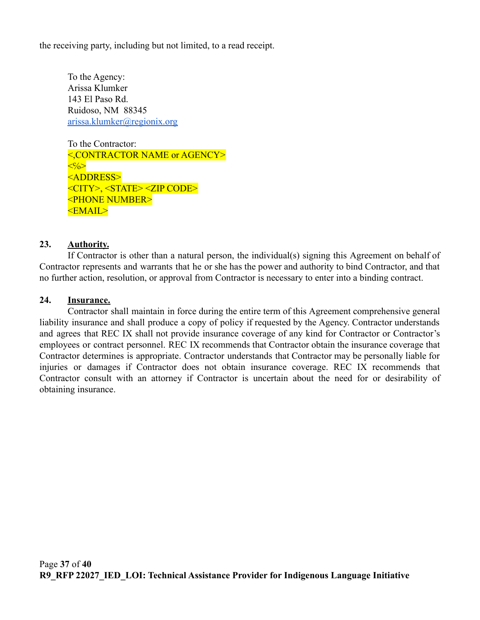the receiving party, including but not limited, to a read receipt.

To the Agency: Arissa Klumker 143 El Paso Rd. Ruidoso, NM 88345 [arissa.klumker@regionix.org](mailto:arissa.klumker@regionix.org)

To the Contractor: <,CONTRACTOR NAME or AGENCY>  $\langle\langle\cdot\rangle\langle\rangle\rangle$ <ADDRESS> <CITY>, <STATE> <ZIP CODE> <PHONE NUMBER> <EMAIL>

#### **23. Authority.**

If Contractor is other than a natural person, the individual(s) signing this Agreement on behalf of Contractor represents and warrants that he or she has the power and authority to bind Contractor, and that no further action, resolution, or approval from Contractor is necessary to enter into a binding contract.

#### **24. Insurance.**

Contractor shall maintain in force during the entire term of this Agreement comprehensive general liability insurance and shall produce a copy of policy if requested by the Agency. Contractor understands and agrees that REC IX shall not provide insurance coverage of any kind for Contractor or Contractor's employees or contract personnel. REC IX recommends that Contractor obtain the insurance coverage that Contractor determines is appropriate. Contractor understands that Contractor may be personally liable for injuries or damages if Contractor does not obtain insurance coverage. REC IX recommends that Contractor consult with an attorney if Contractor is uncertain about the need for or desirability of obtaining insurance.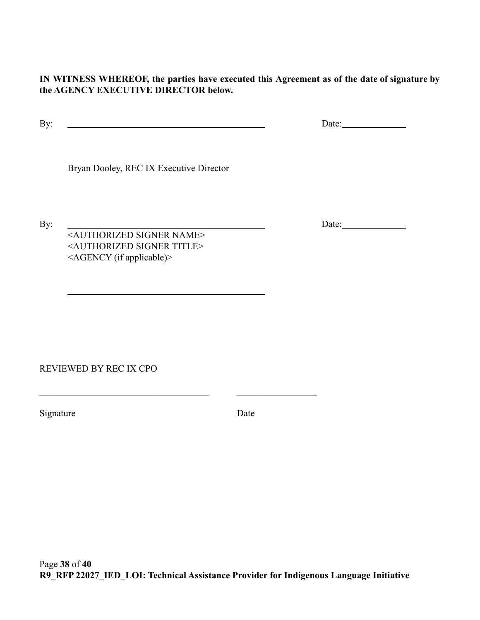**IN WITNESS WHEREOF, the parties have executed this Agreement as of the date of signature by the AGENCY EXECUTIVE DIRECTOR below.**

By: Date:

Bryan Dooley, REC IX Executive Director

<AUTHORIZED SIGNER NAME> <AUTHORIZED SIGNER TITLE> <AGENCY (if applicable)>

 $\_$  , and the set of the set of the set of the set of the set of the set of the set of the set of the set of the set of the set of the set of the set of the set of the set of the set of the set of the set of the set of th

REVIEWED BY REC IX CPO

Signature Date

By: Date: Date: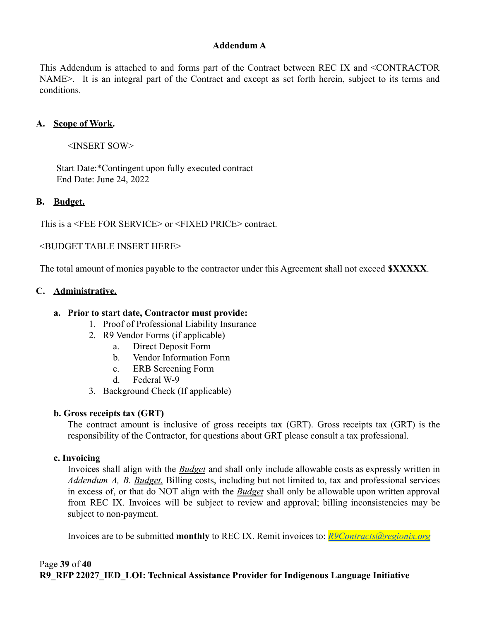### **Addendum A**

This Addendum is attached to and forms part of the Contract between REC IX and <CONTRACTOR NAME>. It is an integral part of the Contract and except as set forth herein, subject to its terms and conditions.

#### **A. Scope of Work.**

<INSERT SOW>

Start Date:\*Contingent upon fully executed contract End Date: June 24, 2022

#### **B. Budget.**

This is a <FEE FOR SERVICE> or <FIXED PRICE> contract.

<BUDGET TABLE INSERT HERE>

The total amount of monies payable to the contractor under this Agreement shall not exceed **\$XXXXX**.

#### **C. Administrative.**

#### **a. Prior to start date, Contractor must provide:**

- 1. Proof of Professional Liability Insurance
- 2. R9 Vendor Forms (if applicable)
	- a. Direct Deposit Form
	- b. Vendor Information Form
	- c. ERB Screening Form
	- d. Federal W-9
- 3. Background Check (If applicable)

### **b. Gross receipts tax (GRT)**

The contract amount is inclusive of gross receipts tax (GRT). Gross receipts tax (GRT) is the responsibility of the Contractor, for questions about GRT please consult a tax professional.

#### **c. Invoicing**

Invoices shall align with the *Budget* and shall only include allowable costs as expressly written in *Addendum A, B. Budget.* Billing costs, including but not limited to, tax and professional services in excess of, or that do NOT align with the *Budget* shall only be allowable upon written approval from REC IX. Invoices will be subject to review and approval; billing inconsistencies may be subject to non-payment.

Invoices are to be submitted **monthly** to REC IX. Remit invoices to: *[R9Contracts@regionix.org](mailto:R9Contracts@regionix.org)*